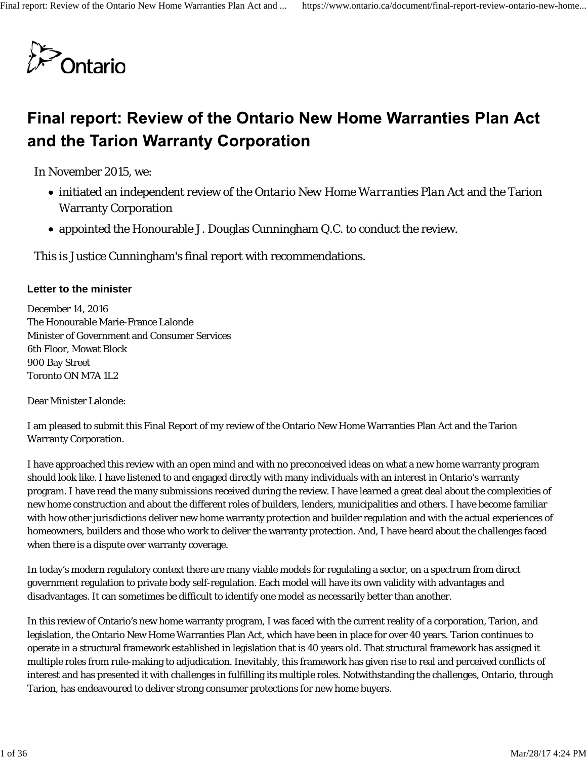

# Final report: Review of the Ontario New Home Warranties Plan Act and the Tarion Warranty Corporation

In November 2015, we:

- initiated an independent review of the *Ontario New Home Warranties Plan Act* and the Tarion Warranty Corporation
- appointed the Honourable J. Douglas Cunningham Q.C. to conduct the review.

This is Justice Cunningham's final report with recommendations.

#### **Letter to the minister**

December 14, 2016 The Honourable Marie-France Lalonde Minister of Government and Consumer Services 6th Floor, Mowat Block 900 Bay Street Toronto ON M7A 1L2

Dear Minister Lalonde:

I am pleased to submit this Final Report of my review of the Ontario New Home Warranties Plan Act and the Tarion Warranty Corporation.

I have approached this review with an open mind and with no preconceived ideas on what a new home warranty program should look like. I have listened to and engaged directly with many individuals with an interest in Ontario's warranty program. I have read the many submissions received during the review. I have learned a great deal about the complexities of new home construction and about the different roles of builders, lenders, municipalities and others. I have become familiar with how other jurisdictions deliver new home warranty protection and builder regulation and with the actual experiences of homeowners, builders and those who work to deliver the warranty protection. And, I have heard about the challenges faced when there is a dispute over warranty coverage.

In today's modern regulatory context there are many viable models for regulating a sector, on a spectrum from direct government regulation to private body self-regulation. Each model will have its own validity with advantages and disadvantages. It can sometimes be difficult to identify one model as necessarily better than another.

In this review of Ontario's new home warranty program, I was faced with the current reality of a corporation, Tarion, and legislation, the Ontario New Home Warranties Plan Act, which have been in place for over 40 years. Tarion continues to operate in a structural framework established in legislation that is 40 years old. That structural framework has assigned it multiple roles from rule-making to adjudication. Inevitably, this framework has given rise to real and perceived conflicts of interest and has presented it with challenges in fulfilling its multiple roles. Notwithstanding the challenges, Ontario, through Tarion, has endeavoured to deliver strong consumer protections for new home buyers.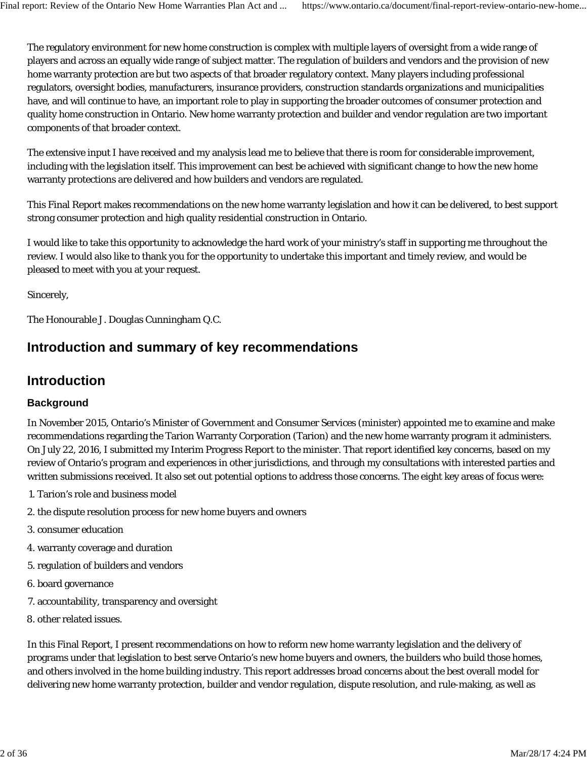The regulatory environment for new home construction is complex with multiple layers of oversight from a wide range of players and across an equally wide range of subject matter. The regulation of builders and vendors and the provision of new home warranty protection are but two aspects of that broader regulatory context. Many players including professional regulators, oversight bodies, manufacturers, insurance providers, construction standards organizations and municipalities have, and will continue to have, an important role to play in supporting the broader outcomes of consumer protection and quality home construction in Ontario. New home warranty protection and builder and vendor regulation are two important components of that broader context.

The extensive input I have received and my analysis lead me to believe that there is room for considerable improvement, including with the legislation itself. This improvement can best be achieved with significant change to how the new home warranty protections are delivered and how builders and vendors are regulated.

This Final Report makes recommendations on the new home warranty legislation and how it can be delivered, to best support strong consumer protection and high quality residential construction in Ontario.

I would like to take this opportunity to acknowledge the hard work of your ministry's staff in supporting me throughout the review. I would also like to thank you for the opportunity to undertake this important and timely review, and would be pleased to meet with you at your request.

Sincerely,

The Honourable J. Douglas Cunningham Q.C.

# **Introduction and summary of key recommendations**

# **Introduction**

#### **Background**

In November 2015, Ontario's Minister of Government and Consumer Services (minister) appointed me to examine and make recommendations regarding the Tarion Warranty Corporation (Tarion) and the new home warranty program it administers. On July 22, 2016, I submitted my Interim Progress Report to the minister. That report identified key concerns, based on my review of Ontario's program and experiences in other jurisdictions, and through my consultations with interested parties and written submissions received. It also set out potential options to address those concerns. The eight key areas of focus were:

- 1. Tarion's role and business model
- 2. the dispute resolution process for new home buyers and owners
- 3. consumer education
- 4. warranty coverage and duration
- 5. regulation of builders and vendors
- 6. board governance
- 7. accountability, transparency and oversight
- 8. other related issues.

In this Final Report, I present recommendations on how to reform new home warranty legislation and the delivery of programs under that legislation to best serve Ontario's new home buyers and owners, the builders who build those homes, and others involved in the home building industry. This report addresses broad concerns about the best overall model for delivering new home warranty protection, builder and vendor regulation, dispute resolution, and rule-making, as well as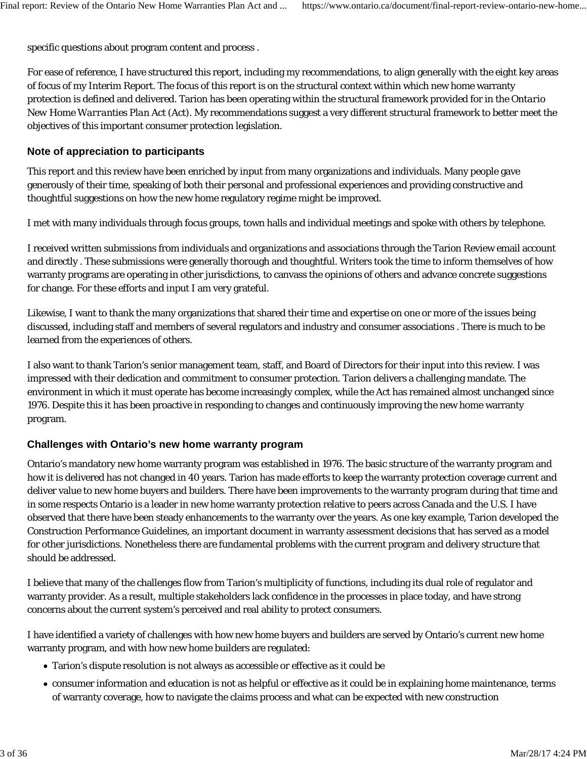specific questions about program content and process .

For ease of reference, I have structured this report, including my recommendations, to align generally with the eight key areas of focus of my Interim Report. The focus of this report is on the structural context within which new home warranty protection is defined and delivered. Tarion has been operating within the structural framework provided for in the *Ontario New Home Warranties Plan Act* (Act). My recommendations suggest a very different structural framework to better meet the objectives of this important consumer protection legislation.

#### **Note of appreciation to participants**

This report and this review have been enriched by input from many organizations and individuals. Many people gave generously of their time, speaking of both their personal and professional experiences and providing constructive and thoughtful suggestions on how the new home regulatory regime might be improved.

I met with many individuals through focus groups, town halls and individual meetings and spoke with others by telephone.

I received written submissions from individuals and organizations and associations through the Tarion Review email account and directly . These submissions were generally thorough and thoughtful. Writers took the time to inform themselves of how warranty programs are operating in other jurisdictions, to canvass the opinions of others and advance concrete suggestions for change. For these efforts and input I am very grateful.

Likewise, I want to thank the many organizations that shared their time and expertise on one or more of the issues being discussed, including staff and members of several regulators and industry and consumer associations . There is much to be learned from the experiences of others.

I also want to thank Tarion's senior management team, staff, and Board of Directors for their input into this review. I was impressed with their dedication and commitment to consumer protection. Tarion delivers a challenging mandate. The environment in which it must operate has become increasingly complex, while the Act has remained almost unchanged since 1976. Despite this it has been proactive in responding to changes and continuously improving the new home warranty program.

### **Challenges with Ontario's new home warranty program**

Ontario's mandatory new home warranty program was established in 1976. The basic structure of the warranty program and how it is delivered has not changed in 40 years. Tarion has made efforts to keep the warranty protection coverage current and deliver value to new home buyers and builders. There have been improvements to the warranty program during that time and in some respects Ontario is a leader in new home warranty protection relative to peers across Canada and the U.S. I have observed that there have been steady enhancements to the warranty over the years. As one key example, Tarion developed the Construction Performance Guidelines, an important document in warranty assessment decisions that has served as a model for other jurisdictions. Nonetheless there are fundamental problems with the current program and delivery structure that should be addressed.

I believe that many of the challenges flow from Tarion's multiplicity of functions, including its dual role of regulator and warranty provider. As a result, multiple stakeholders lack confidence in the processes in place today, and have strong concerns about the current system's perceived and real ability to protect consumers.

I have identified a variety of challenges with how new home buyers and builders are served by Ontario's current new home warranty program, and with how new home builders are regulated:

- Tarion's dispute resolution is not always as accessible or effective as it could be
- consumer information and education is not as helpful or effective as it could be in explaining home maintenance, terms of warranty coverage, how to navigate the claims process and what can be expected with new construction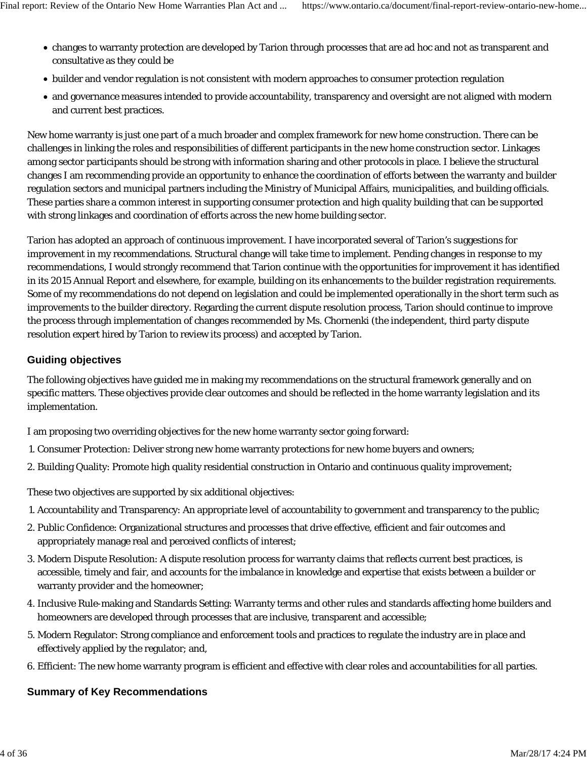- changes to warranty protection are developed by Tarion through processes that are ad hoc and not as transparent and consultative as they could be
- builder and vendor regulation is not consistent with modern approaches to consumer protection regulation
- and governance measures intended to provide accountability, transparency and oversight are not aligned with modern and current best practices.

New home warranty is just one part of a much broader and complex framework for new home construction. There can be challenges in linking the roles and responsibilities of different participants in the new home construction sector. Linkages among sector participants should be strong with information sharing and other protocols in place. I believe the structural changes I am recommending provide an opportunity to enhance the coordination of efforts between the warranty and builder regulation sectors and municipal partners including the Ministry of Municipal Affairs, municipalities, and building officials. These parties share a common interest in supporting consumer protection and high quality building that can be supported with strong linkages and coordination of efforts across the new home building sector.

Tarion has adopted an approach of continuous improvement. I have incorporated several of Tarion's suggestions for improvement in my recommendations. Structural change will take time to implement. Pending changes in response to my recommendations, I would strongly recommend that Tarion continue with the opportunities for improvement it has identified in its 2015 Annual Report and elsewhere, for example, building on its enhancements to the builder registration requirements. Some of my recommendations do not depend on legislation and could be implemented operationally in the short term such as improvements to the builder directory. Regarding the current dispute resolution process, Tarion should continue to improve the process through implementation of changes recommended by Ms. Chornenki (the independent, third party dispute resolution expert hired by Tarion to review its process) and accepted by Tarion.

### **Guiding objectives**

The following objectives have guided me in making my recommendations on the structural framework generally and on specific matters. These objectives provide clear outcomes and should be reflected in the home warranty legislation and its implementation.

I am proposing two overriding objectives for the new home warranty sector going forward:

- 1. Consumer Protection: Deliver strong new home warranty protections for new home buyers and owners;
- 2. Building Quality: Promote high quality residential construction in Ontario and continuous quality improvement;

These two objectives are supported by six additional objectives:

- 1. Accountability and Transparency: An appropriate level of accountability to government and transparency to the public;
- Public Confidence: Organizational structures and processes that drive effective, efficient and fair outcomes and 2. appropriately manage real and perceived conflicts of interest;
- 3. Modern Dispute Resolution: A dispute resolution process for warranty claims that reflects current best practices, is accessible, timely and fair, and accounts for the imbalance in knowledge and expertise that exists between a builder or warranty provider and the homeowner;
- Inclusive Rule-making and Standards Setting: Warranty terms and other rules and standards affecting home builders and 4. homeowners are developed through processes that are inclusive, transparent and accessible;
- Modern Regulator: Strong compliance and enforcement tools and practices to regulate the industry are in place and 5. effectively applied by the regulator; and,
- 6. Efficient: The new home warranty program is efficient and effective with clear roles and accountabilities for all parties.

# **Summary of Key Recommendations**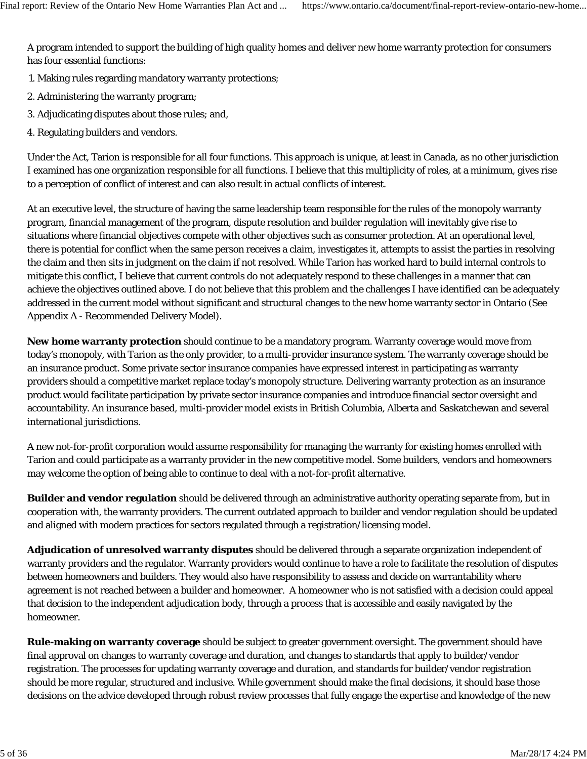A program intended to support the building of high quality homes and deliver new home warranty protection for consumers has four essential functions:

- 1. Making rules regarding mandatory warranty protections;
- 2. Administering the warranty program;
- 3. Adjudicating disputes about those rules; and,
- 4. Regulating builders and vendors.

Under the Act, Tarion is responsible for all four functions. This approach is unique, at least in Canada, as no other jurisdiction I examined has one organization responsible for all functions. I believe that this multiplicity of roles, at a minimum, gives rise to a perception of conflict of interest and can also result in actual conflicts of interest.

At an executive level, the structure of having the same leadership team responsible for the rules of the monopoly warranty program, financial management of the program, dispute resolution and builder regulation will inevitably give rise to situations where financial objectives compete with other objectives such as consumer protection. At an operational level, there is potential for conflict when the same person receives a claim, investigates it, attempts to assist the parties in resolving the claim and then sits in judgment on the claim if not resolved. While Tarion has worked hard to build internal controls to mitigate this conflict, I believe that current controls do not adequately respond to these challenges in a manner that can achieve the objectives outlined above. I do not believe that this problem and the challenges I have identified can be adequately addressed in the current model without significant and structural changes to the new home warranty sector in Ontario (See Appendix A - Recommended Delivery Model).

**New home warranty protection** should continue to be a mandatory program. Warranty coverage would move from today's monopoly, with Tarion as the only provider, to a multi-provider insurance system. The warranty coverage should be an insurance product. Some private sector insurance companies have expressed interest in participating as warranty providers should a competitive market replace today's monopoly structure. Delivering warranty protection as an insurance product would facilitate participation by private sector insurance companies and introduce financial sector oversight and accountability. An insurance based, multi-provider model exists in British Columbia, Alberta and Saskatchewan and several international jurisdictions.

A new not-for-profit corporation would assume responsibility for managing the warranty for existing homes enrolled with Tarion and could participate as a warranty provider in the new competitive model. Some builders, vendors and homeowners may welcome the option of being able to continue to deal with a not-for-profit alternative.

**Builder and vendor regulation** should be delivered through an administrative authority operating separate from, but in cooperation with, the warranty providers. The current outdated approach to builder and vendor regulation should be updated and aligned with modern practices for sectors regulated through a registration/licensing model.

**Adjudication of unresolved warranty disputes** should be delivered through a separate organization independent of warranty providers and the regulator. Warranty providers would continue to have a role to facilitate the resolution of disputes between homeowners and builders. They would also have responsibility to assess and decide on warrantability where agreement is not reached between a builder and homeowner. A homeowner who is not satisfied with a decision could appeal that decision to the independent adjudication body, through a process that is accessible and easily navigated by the homeowner.

**Rule-making on warranty coverage** should be subject to greater government oversight. The government should have final approval on changes to warranty coverage and duration, and changes to standards that apply to builder/vendor registration. The processes for updating warranty coverage and duration, and standards for builder/vendor registration should be more regular, structured and inclusive. While government should make the final decisions, it should base those decisions on the advice developed through robust review processes that fully engage the expertise and knowledge of the new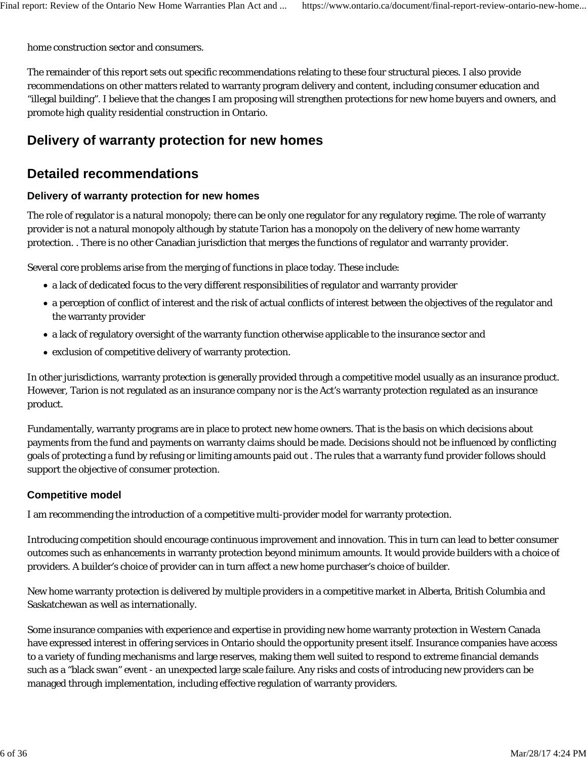home construction sector and consumers.

The remainder of this report sets out specific recommendations relating to these four structural pieces. I also provide recommendations on other matters related to warranty program delivery and content, including consumer education and "illegal building". I believe that the changes I am proposing will strengthen protections for new home buyers and owners, and promote high quality residential construction in Ontario.

# **Delivery of warranty protection for new homes**

# **Detailed recommendations**

#### **Delivery of warranty protection for new homes**

The role of regulator is a natural monopoly; there can be only one regulator for any regulatory regime. The role of warranty provider is not a natural monopoly although by statute Tarion has a monopoly on the delivery of new home warranty protection. . There is no other Canadian jurisdiction that merges the functions of regulator and warranty provider.

Several core problems arise from the merging of functions in place today. These include:

- a lack of dedicated focus to the very different responsibilities of regulator and warranty provider
- a perception of conflict of interest and the risk of actual conflicts of interest between the objectives of the regulator and the warranty provider
- a lack of regulatory oversight of the warranty function otherwise applicable to the insurance sector and
- exclusion of competitive delivery of warranty protection.

In other jurisdictions, warranty protection is generally provided through a competitive model usually as an insurance product. However, Tarion is not regulated as an insurance company nor is the Act's warranty protection regulated as an insurance product.

Fundamentally, warranty programs are in place to protect new home owners. That is the basis on which decisions about payments from the fund and payments on warranty claims should be made. Decisions should not be influenced by conflicting goals of protecting a fund by refusing or limiting amounts paid out . The rules that a warranty fund provider follows should support the objective of consumer protection.

#### **Competitive model**

I am recommending the introduction of a competitive multi-provider model for warranty protection.

Introducing competition should encourage continuous improvement and innovation. This in turn can lead to better consumer outcomes such as enhancements in warranty protection beyond minimum amounts. It would provide builders with a choice of providers. A builder's choice of provider can in turn affect a new home purchaser's choice of builder.

New home warranty protection is delivered by multiple providers in a competitive market in Alberta, British Columbia and Saskatchewan as well as internationally.

Some insurance companies with experience and expertise in providing new home warranty protection in Western Canada have expressed interest in offering services in Ontario should the opportunity present itself. Insurance companies have access to a variety of funding mechanisms and large reserves, making them well suited to respond to extreme financial demands such as a "black swan" event - an unexpected large scale failure. Any risks and costs of introducing new providers can be managed through implementation, including effective regulation of warranty providers.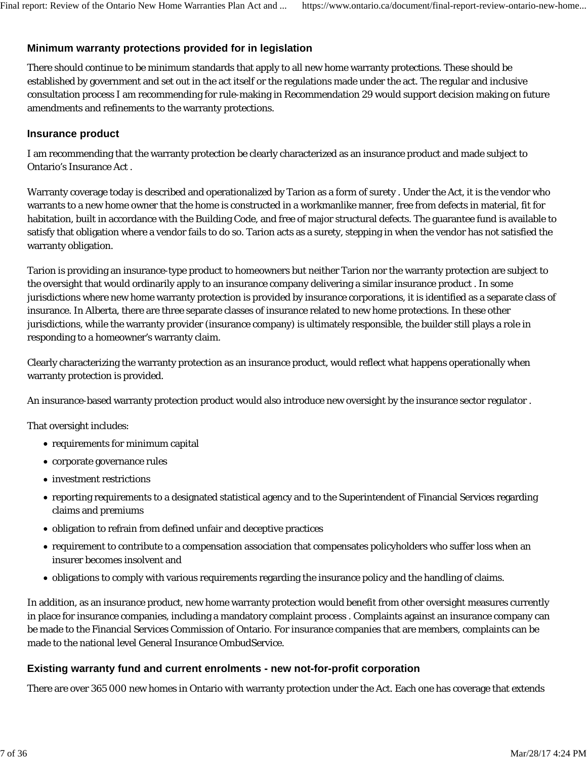# **Minimum warranty protections provided for in legislation**

There should continue to be minimum standards that apply to all new home warranty protections. These should be established by government and set out in the act itself or the regulations made under the act. The regular and inclusive consultation process I am recommending for rule-making in Recommendation 29 would support decision making on future amendments and refinements to the warranty protections.

### **Insurance product**

I am recommending that the warranty protection be clearly characterized as an insurance product and made subject to Ontario's Insurance Act .

Warranty coverage today is described and operationalized by Tarion as a form of surety . Under the Act, it is the vendor who warrants to a new home owner that the home is constructed in a workmanlike manner, free from defects in material, fit for habitation, built in accordance with the Building Code, and free of major structural defects. The guarantee fund is available to satisfy that obligation where a vendor fails to do so. Tarion acts as a surety, stepping in when the vendor has not satisfied the warranty obligation.

Tarion is providing an insurance-type product to homeowners but neither Tarion nor the warranty protection are subject to the oversight that would ordinarily apply to an insurance company delivering a similar insurance product . In some jurisdictions where new home warranty protection is provided by insurance corporations, it is identified as a separate class of insurance. In Alberta, there are three separate classes of insurance related to new home protections. In these other jurisdictions, while the warranty provider (insurance company) is ultimately responsible, the builder still plays a role in responding to a homeowner's warranty claim.

Clearly characterizing the warranty protection as an insurance product, would reflect what happens operationally when warranty protection is provided.

An insurance-based warranty protection product would also introduce new oversight by the insurance sector regulator .

That oversight includes:

- requirements for minimum capital
- corporate governance rules
- investment restrictions
- reporting requirements to a designated statistical agency and to the Superintendent of Financial Services regarding claims and premiums
- obligation to refrain from defined unfair and deceptive practices
- requirement to contribute to a compensation association that compensates policyholders who suffer loss when an insurer becomes insolvent and
- obligations to comply with various requirements regarding the insurance policy and the handling of claims.

In addition, as an insurance product, new home warranty protection would benefit from other oversight measures currently in place for insurance companies, including a mandatory complaint process . Complaints against an insurance company can be made to the Financial Services Commission of Ontario. For insurance companies that are members, complaints can be made to the national level General Insurance OmbudService.

### **Existing warranty fund and current enrolments - new not-for-profit corporation**

There are over 365 000 new homes in Ontario with warranty protection under the Act. Each one has coverage that extends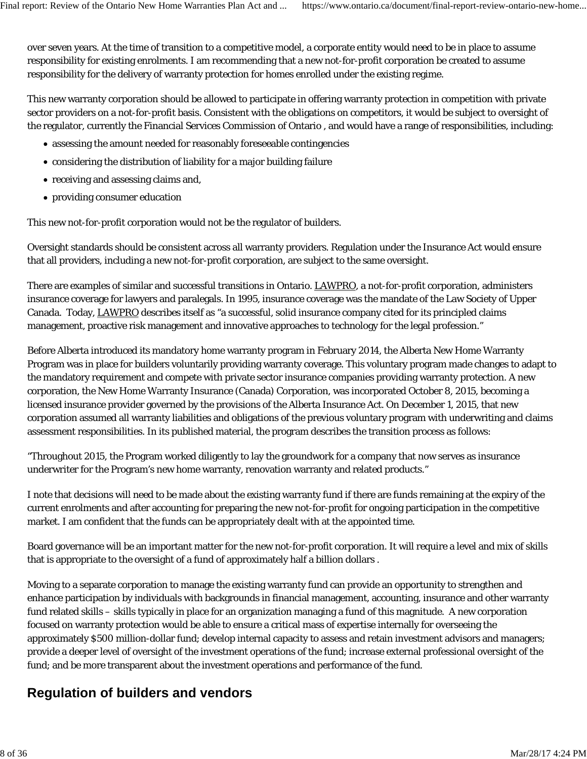over seven years. At the time of transition to a competitive model, a corporate entity would need to be in place to assume responsibility for existing enrolments. I am recommending that a new not-for-profit corporation be created to assume responsibility for the delivery of warranty protection for homes enrolled under the existing regime.

This new warranty corporation should be allowed to participate in offering warranty protection in competition with private sector providers on a not-for-profit basis. Consistent with the obligations on competitors, it would be subject to oversight of the regulator, currently the Financial Services Commission of Ontario , and would have a range of responsibilities, including:

- assessing the amount needed for reasonably foreseeable contingencies
- considering the distribution of liability for a major building failure
- receiving and assessing claims and,
- providing consumer education

This new not-for-profit corporation would not be the regulator of builders.

Oversight standards should be consistent across all warranty providers. Regulation under the Insurance Act would ensure that all providers, including a new not-for-profit corporation, are subject to the same oversight.

There are examples of similar and successful transitions in Ontario. LAWPRO, a not-for-profit corporation, administers insurance coverage for lawyers and paralegals. In 1995, insurance coverage was the mandate of the Law Society of Upper Canada. Today, LAWPRO describes itself as "a successful, solid insurance company cited for its principled claims management, proactive risk management and innovative approaches to technology for the legal profession."

Before Alberta introduced its mandatory home warranty program in February 2014, the Alberta New Home Warranty Program was in place for builders voluntarily providing warranty coverage. This voluntary program made changes to adapt to the mandatory requirement and compete with private sector insurance companies providing warranty protection. A new corporation, the New Home Warranty Insurance (Canada) Corporation, was incorporated October 8, 2015, becoming a licensed insurance provider governed by the provisions of the Alberta Insurance Act. On December 1, 2015, that new corporation assumed all warranty liabilities and obligations of the previous voluntary program with underwriting and claims assessment responsibilities. In its published material, the program describes the transition process as follows:

"Throughout 2015, the Program worked diligently to lay the groundwork for a company that now serves as insurance underwriter for the Program's new home warranty, renovation warranty and related products."

I note that decisions will need to be made about the existing warranty fund if there are funds remaining at the expiry of the current enrolments and after accounting for preparing the new not-for-profit for ongoing participation in the competitive market. I am confident that the funds can be appropriately dealt with at the appointed time.

Board governance will be an important matter for the new not-for-profit corporation. It will require a level and mix of skills that is appropriate to the oversight of a fund of approximately half a billion dollars .

Moving to a separate corporation to manage the existing warranty fund can provide an opportunity to strengthen and enhance participation by individuals with backgrounds in financial management, accounting, insurance and other warranty fund related skills – skills typically in place for an organization managing a fund of this magnitude. A new corporation focused on warranty protection would be able to ensure a critical mass of expertise internally for overseeing the approximately \$500 million-dollar fund; develop internal capacity to assess and retain investment advisors and managers; provide a deeper level of oversight of the investment operations of the fund; increase external professional oversight of the fund; and be more transparent about the investment operations and performance of the fund.

# **Regulation of builders and vendors**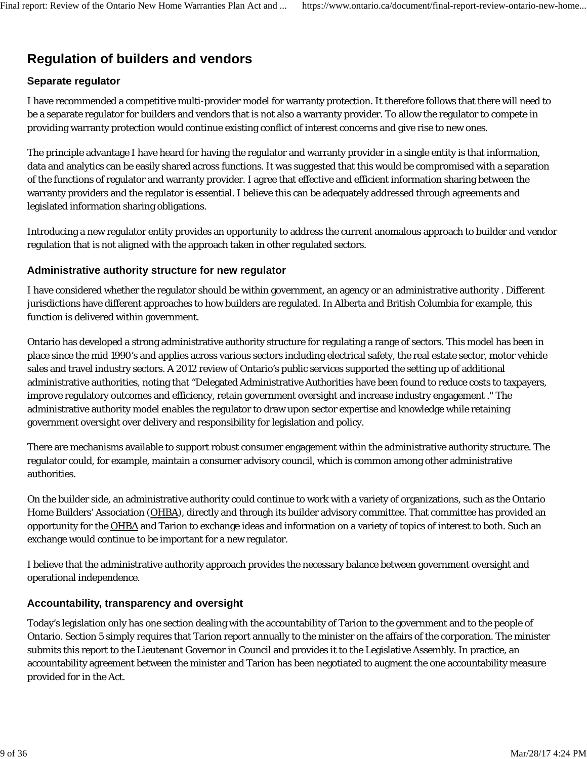# **Regulation of builders and vendors**

# **Separate regulator**

I have recommended a competitive multi-provider model for warranty protection. It therefore follows that there will need to be a separate regulator for builders and vendors that is not also a warranty provider. To allow the regulator to compete in providing warranty protection would continue existing conflict of interest concerns and give rise to new ones.

The principle advantage I have heard for having the regulator and warranty provider in a single entity is that information, data and analytics can be easily shared across functions. It was suggested that this would be compromised with a separation of the functions of regulator and warranty provider. I agree that effective and efficient information sharing between the warranty providers and the regulator is essential. I believe this can be adequately addressed through agreements and legislated information sharing obligations.

Introducing a new regulator entity provides an opportunity to address the current anomalous approach to builder and vendor regulation that is not aligned with the approach taken in other regulated sectors.

#### **Administrative authority structure for new regulator**

I have considered whether the regulator should be within government, an agency or an administrative authority . Different jurisdictions have different approaches to how builders are regulated. In Alberta and British Columbia for example, this function is delivered within government.

Ontario has developed a strong administrative authority structure for regulating a range of sectors. This model has been in place since the mid 1990's and applies across various sectors including electrical safety, the real estate sector, motor vehicle sales and travel industry sectors. A 2012 review of Ontario's public services supported the setting up of additional administrative authorities, noting that "Delegated Administrative Authorities have been found to reduce costs to taxpayers, improve regulatory outcomes and efficiency, retain government oversight and increase industry engagement ." The administrative authority model enables the regulator to draw upon sector expertise and knowledge while retaining government oversight over delivery and responsibility for legislation and policy.

There are mechanisms available to support robust consumer engagement within the administrative authority structure. The regulator could, for example, maintain a consumer advisory council, which is common among other administrative authorities.

On the builder side, an administrative authority could continue to work with a variety of organizations, such as the Ontario Home Builders' Association (OHBA), directly and through its builder advisory committee. That committee has provided an opportunity for the OHBA and Tarion to exchange ideas and information on a variety of topics of interest to both. Such an exchange would continue to be important for a new regulator.

I believe that the administrative authority approach provides the necessary balance between government oversight and operational independence.

### **Accountability, transparency and oversight**

Today's legislation only has one section dealing with the accountability of Tarion to the government and to the people of Ontario. Section 5 simply requires that Tarion report annually to the minister on the affairs of the corporation. The minister submits this report to the Lieutenant Governor in Council and provides it to the Legislative Assembly. In practice, an accountability agreement between the minister and Tarion has been negotiated to augment the one accountability measure provided for in the Act.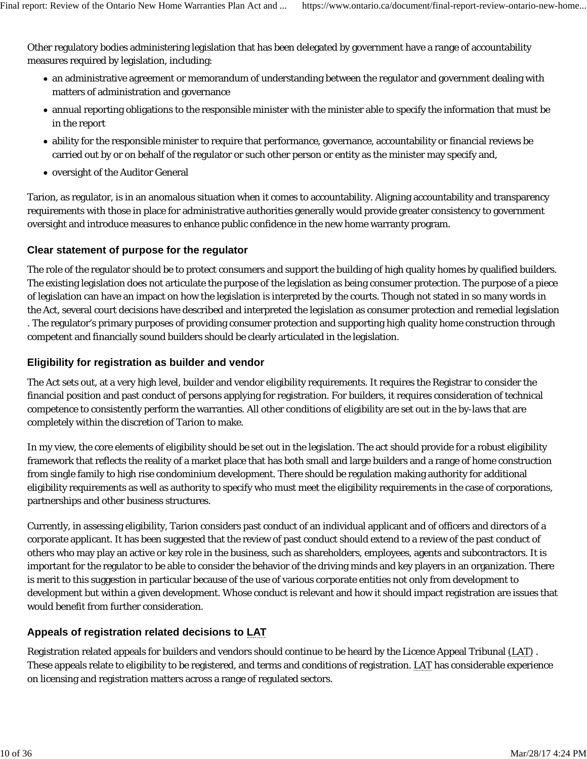Other regulatory bodies administering legislation that has been delegated by government have a range of accountability measures required by legislation, including:

- an administrative agreement or memorandum of understanding between the regulator and government dealing with matters of administration and governance
- annual reporting obligations to the responsible minister with the minister able to specify the information that must be in the report
- ability for the responsible minister to require that performance, governance, accountability or financial reviews be carried out by or on behalf of the regulator or such other person or entity as the minister may specify and,
- oversight of the Auditor General

Tarion, as regulator, is in an anomalous situation when it comes to accountability. Aligning accountability and transparency requirements with those in place for administrative authorities generally would provide greater consistency to government oversight and introduce measures to enhance public confidence in the new home warranty program.

# **Clear statement of purpose for the regulator**

The role of the regulator should be to protect consumers and support the building of high quality homes by qualified builders. The existing legislation does not articulate the purpose of the legislation as being consumer protection. The purpose of a piece of legislation can have an impact on how the legislation is interpreted by the courts. Though not stated in so many words in the Act, several court decisions have described and interpreted the legislation as consumer protection and remedial legislation . The regulator's primary purposes of providing consumer protection and supporting high quality home construction through competent and financially sound builders should be clearly articulated in the legislation.

# **Eligibility for registration as builder and vendor**

The Act sets out, at a very high level, builder and vendor eligibility requirements. It requires the Registrar to consider the financial position and past conduct of persons applying for registration. For builders, it requires consideration of technical competence to consistently perform the warranties. All other conditions of eligibility are set out in the by-laws that are completely within the discretion of Tarion to make.

In my view, the core elements of eligibility should be set out in the legislation. The act should provide for a robust eligibility framework that reflects the reality of a market place that has both small and large builders and a range of home construction from single family to high rise condominium development. There should be regulation making authority for additional eligibility requirements as well as authority to specify who must meet the eligibility requirements in the case of corporations, partnerships and other business structures.

Currently, in assessing eligibility, Tarion considers past conduct of an individual applicant and of officers and directors of a corporate applicant. It has been suggested that the review of past conduct should extend to a review of the past conduct of others who may play an active or key role in the business, such as shareholders, employees, agents and subcontractors. It is important for the regulator to be able to consider the behavior of the driving minds and key players in an organization. There is merit to this suggestion in particular because of the use of various corporate entities not only from development to development but within a given development. Whose conduct is relevant and how it should impact registration are issues that would benefit from further consideration.

# **Appeals of registration related decisions to LAT**

Registration related appeals for builders and vendors should continue to be heard by the Licence Appeal Tribunal (LAT) . These appeals relate to eligibility to be registered, and terms and conditions of registration. LAT has considerable experience on licensing and registration matters across a range of regulated sectors.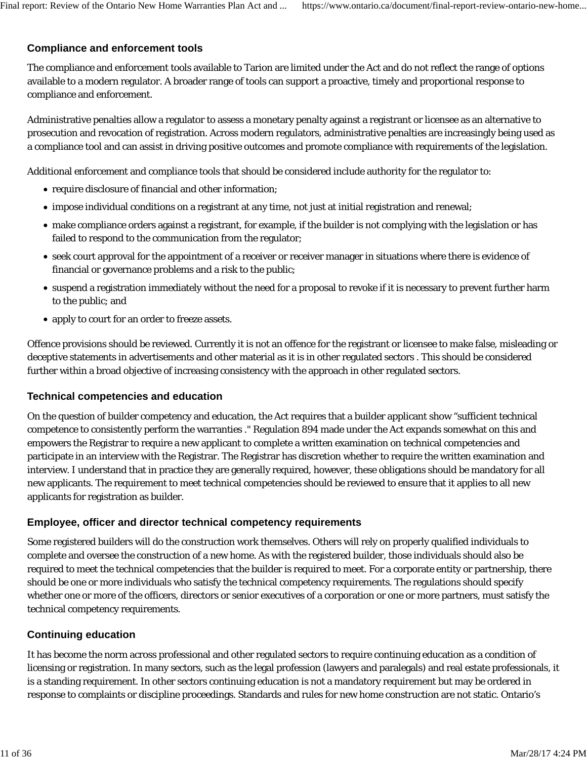# **Compliance and enforcement tools**

The compliance and enforcement tools available to Tarion are limited under the Act and do not reflect the range of options available to a modern regulator. A broader range of tools can support a proactive, timely and proportional response to compliance and enforcement.

Administrative penalties allow a regulator to assess a monetary penalty against a registrant or licensee as an alternative to prosecution and revocation of registration. Across modern regulators, administrative penalties are increasingly being used as a compliance tool and can assist in driving positive outcomes and promote compliance with requirements of the legislation.

Additional enforcement and compliance tools that should be considered include authority for the regulator to:

- require disclosure of financial and other information;
- impose individual conditions on a registrant at any time, not just at initial registration and renewal;
- make compliance orders against a registrant, for example, if the builder is not complying with the legislation or has failed to respond to the communication from the regulator;
- seek court approval for the appointment of a receiver or receiver manager in situations where there is evidence of financial or governance problems and a risk to the public;
- suspend a registration immediately without the need for a proposal to revoke if it is necessary to prevent further harm to the public; and
- apply to court for an order to freeze assets.

Offence provisions should be reviewed. Currently it is not an offence for the registrant or licensee to make false, misleading or deceptive statements in advertisements and other material as it is in other regulated sectors . This should be considered further within a broad objective of increasing consistency with the approach in other regulated sectors.

### **Technical competencies and education**

On the question of builder competency and education, the Act requires that a builder applicant show "sufficient technical competence to consistently perform the warranties ." Regulation 894 made under the Act expands somewhat on this and empowers the Registrar to require a new applicant to complete a written examination on technical competencies and participate in an interview with the Registrar. The Registrar has discretion whether to require the written examination and interview. I understand that in practice they are generally required, however, these obligations should be mandatory for all new applicants. The requirement to meet technical competencies should be reviewed to ensure that it applies to all new applicants for registration as builder.

### **Employee, officer and director technical competency requirements**

Some registered builders will do the construction work themselves. Others will rely on properly qualified individuals to complete and oversee the construction of a new home. As with the registered builder, those individuals should also be required to meet the technical competencies that the builder is required to meet. For a corporate entity or partnership, there should be one or more individuals who satisfy the technical competency requirements. The regulations should specify whether one or more of the officers, directors or senior executives of a corporation or one or more partners, must satisfy the technical competency requirements.

### **Continuing education**

It has become the norm across professional and other regulated sectors to require continuing education as a condition of licensing or registration. In many sectors, such as the legal profession (lawyers and paralegals) and real estate professionals, it is a standing requirement. In other sectors continuing education is not a mandatory requirement but may be ordered in response to complaints or discipline proceedings. Standards and rules for new home construction are not static. Ontario's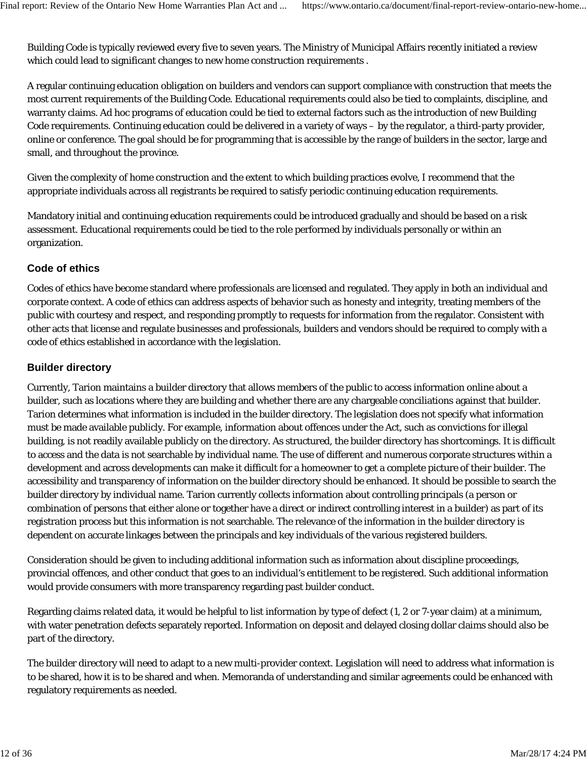Building Code is typically reviewed every five to seven years. The Ministry of Municipal Affairs recently initiated a review which could lead to significant changes to new home construction requirements .

A regular continuing education obligation on builders and vendors can support compliance with construction that meets the most current requirements of the Building Code. Educational requirements could also be tied to complaints, discipline, and warranty claims. Ad hoc programs of education could be tied to external factors such as the introduction of new Building Code requirements. Continuing education could be delivered in a variety of ways – by the regulator, a third-party provider, online or conference. The goal should be for programming that is accessible by the range of builders in the sector, large and small, and throughout the province.

Given the complexity of home construction and the extent to which building practices evolve, I recommend that the appropriate individuals across all registrants be required to satisfy periodic continuing education requirements.

Mandatory initial and continuing education requirements could be introduced gradually and should be based on a risk assessment. Educational requirements could be tied to the role performed by individuals personally or within an organization.

# **Code of ethics**

Codes of ethics have become standard where professionals are licensed and regulated. They apply in both an individual and corporate context. A code of ethics can address aspects of behavior such as honesty and integrity, treating members of the public with courtesy and respect, and responding promptly to requests for information from the regulator. Consistent with other acts that license and regulate businesses and professionals, builders and vendors should be required to comply with a code of ethics established in accordance with the legislation.

# **Builder directory**

Currently, Tarion maintains a builder directory that allows members of the public to access information online about a builder, such as locations where they are building and whether there are any chargeable conciliations against that builder. Tarion determines what information is included in the builder directory. The legislation does not specify what information must be made available publicly. For example, information about offences under the Act, such as convictions for illegal building, is not readily available publicly on the directory. As structured, the builder directory has shortcomings. It is difficult to access and the data is not searchable by individual name. The use of different and numerous corporate structures within a development and across developments can make it difficult for a homeowner to get a complete picture of their builder. The accessibility and transparency of information on the builder directory should be enhanced. It should be possible to search the builder directory by individual name. Tarion currently collects information about controlling principals (a person or combination of persons that either alone or together have a direct or indirect controlling interest in a builder) as part of its registration process but this information is not searchable. The relevance of the information in the builder directory is dependent on accurate linkages between the principals and key individuals of the various registered builders.

Consideration should be given to including additional information such as information about discipline proceedings, provincial offences, and other conduct that goes to an individual's entitlement to be registered. Such additional information would provide consumers with more transparency regarding past builder conduct.

Regarding claims related data, it would be helpful to list information by type of defect (1, 2 or 7-year claim) at a minimum, with water penetration defects separately reported. Information on deposit and delayed closing dollar claims should also be part of the directory.

The builder directory will need to adapt to a new multi-provider context. Legislation will need to address what information is to be shared, how it is to be shared and when. Memoranda of understanding and similar agreements could be enhanced with regulatory requirements as needed.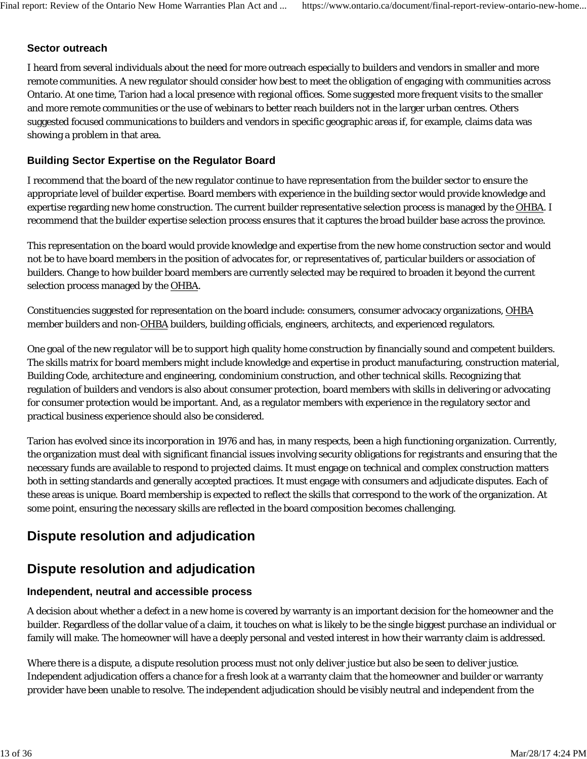# **Sector outreach**

I heard from several individuals about the need for more outreach especially to builders and vendors in smaller and more remote communities. A new regulator should consider how best to meet the obligation of engaging with communities across Ontario. At one time, Tarion had a local presence with regional offices. Some suggested more frequent visits to the smaller and more remote communities or the use of webinars to better reach builders not in the larger urban centres. Others suggested focused communications to builders and vendors in specific geographic areas if, for example, claims data was showing a problem in that area.

# **Building Sector Expertise on the Regulator Board**

I recommend that the board of the new regulator continue to have representation from the builder sector to ensure the appropriate level of builder expertise. Board members with experience in the building sector would provide knowledge and expertise regarding new home construction. The current builder representative selection process is managed by the OHBA. I recommend that the builder expertise selection process ensures that it captures the broad builder base across the province.

This representation on the board would provide knowledge and expertise from the new home construction sector and would not be to have board members in the position of advocates for, or representatives of, particular builders or association of builders. Change to how builder board members are currently selected may be required to broaden it beyond the current selection process managed by the OHBA.

Constituencies suggested for representation on the board include: consumers, consumer advocacy organizations, OHBA member builders and non-OHBA builders, building officials, engineers, architects, and experienced regulators.

One goal of the new regulator will be to support high quality home construction by financially sound and competent builders. The skills matrix for board members might include knowledge and expertise in product manufacturing, construction material, Building Code, architecture and engineering, condominium construction, and other technical skills. Recognizing that regulation of builders and vendors is also about consumer protection, board members with skills in delivering or advocating for consumer protection would be important. And, as a regulator members with experience in the regulatory sector and practical business experience should also be considered.

Tarion has evolved since its incorporation in 1976 and has, in many respects, been a high functioning organization. Currently, the organization must deal with significant financial issues involving security obligations for registrants and ensuring that the necessary funds are available to respond to projected claims. It must engage on technical and complex construction matters both in setting standards and generally accepted practices. It must engage with consumers and adjudicate disputes. Each of these areas is unique. Board membership is expected to reflect the skills that correspond to the work of the organization. At some point, ensuring the necessary skills are reflected in the board composition becomes challenging.

# **Dispute resolution and adjudication**

# **Dispute resolution and adjudication**

### **Independent, neutral and accessible process**

A decision about whether a defect in a new home is covered by warranty is an important decision for the homeowner and the builder. Regardless of the dollar value of a claim, it touches on what is likely to be the single biggest purchase an individual or family will make. The homeowner will have a deeply personal and vested interest in how their warranty claim is addressed.

Where there is a dispute, a dispute resolution process must not only deliver justice but also be seen to deliver justice. Independent adjudication offers a chance for a fresh look at a warranty claim that the homeowner and builder or warranty provider have been unable to resolve. The independent adjudication should be visibly neutral and independent from the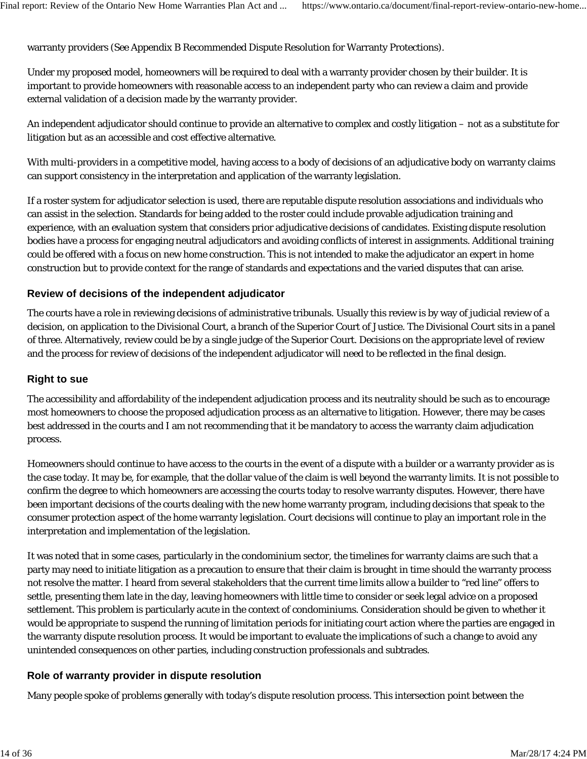warranty providers (See Appendix B Recommended Dispute Resolution for Warranty Protections).

Under my proposed model, homeowners will be required to deal with a warranty provider chosen by their builder. It is important to provide homeowners with reasonable access to an independent party who can review a claim and provide external validation of a decision made by the warranty provider.

An independent adjudicator should continue to provide an alternative to complex and costly litigation – not as a substitute for litigation but as an accessible and cost effective alternative.

With multi-providers in a competitive model, having access to a body of decisions of an adjudicative body on warranty claims can support consistency in the interpretation and application of the warranty legislation.

If a roster system for adjudicator selection is used, there are reputable dispute resolution associations and individuals who can assist in the selection. Standards for being added to the roster could include provable adjudication training and experience, with an evaluation system that considers prior adjudicative decisions of candidates. Existing dispute resolution bodies have a process for engaging neutral adjudicators and avoiding conflicts of interest in assignments. Additional training could be offered with a focus on new home construction. This is not intended to make the adjudicator an expert in home construction but to provide context for the range of standards and expectations and the varied disputes that can arise.

# **Review of decisions of the independent adjudicator**

The courts have a role in reviewing decisions of administrative tribunals. Usually this review is by way of judicial review of a decision, on application to the Divisional Court, a branch of the Superior Court of Justice. The Divisional Court sits in a panel of three. Alternatively, review could be by a single judge of the Superior Court. Decisions on the appropriate level of review and the process for review of decisions of the independent adjudicator will need to be reflected in the final design.

#### **Right to sue**

The accessibility and affordability of the independent adjudication process and its neutrality should be such as to encourage most homeowners to choose the proposed adjudication process as an alternative to litigation. However, there may be cases best addressed in the courts and I am not recommending that it be mandatory to access the warranty claim adjudication process.

Homeowners should continue to have access to the courts in the event of a dispute with a builder or a warranty provider as is the case today. It may be, for example, that the dollar value of the claim is well beyond the warranty limits. It is not possible to confirm the degree to which homeowners are accessing the courts today to resolve warranty disputes. However, there have been important decisions of the courts dealing with the new home warranty program, including decisions that speak to the consumer protection aspect of the home warranty legislation. Court decisions will continue to play an important role in the interpretation and implementation of the legislation.

It was noted that in some cases, particularly in the condominium sector, the timelines for warranty claims are such that a party may need to initiate litigation as a precaution to ensure that their claim is brought in time should the warranty process not resolve the matter. I heard from several stakeholders that the current time limits allow a builder to "red line" offers to settle, presenting them late in the day, leaving homeowners with little time to consider or seek legal advice on a proposed settlement. This problem is particularly acute in the context of condominiums. Consideration should be given to whether it would be appropriate to suspend the running of limitation periods for initiating court action where the parties are engaged in the warranty dispute resolution process. It would be important to evaluate the implications of such a change to avoid any unintended consequences on other parties, including construction professionals and subtrades.

### **Role of warranty provider in dispute resolution**

Many people spoke of problems generally with today's dispute resolution process. This intersection point between the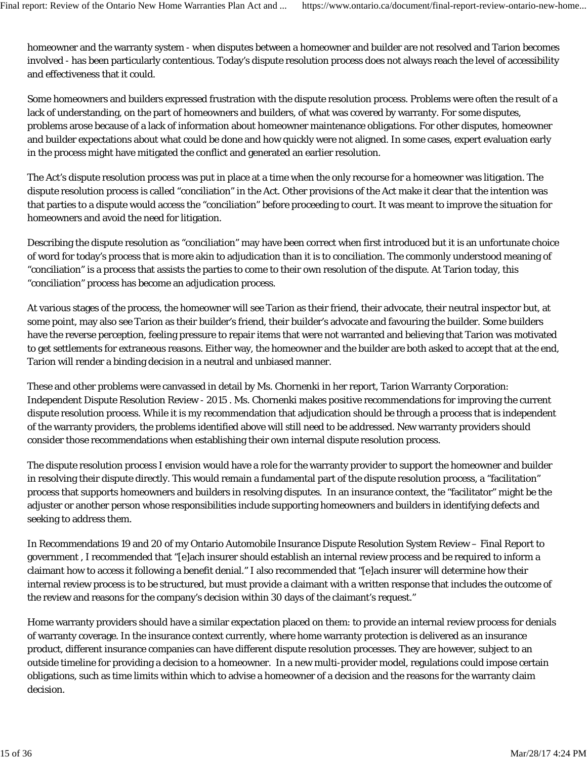homeowner and the warranty system - when disputes between a homeowner and builder are not resolved and Tarion becomes involved - has been particularly contentious. Today's dispute resolution process does not always reach the level of accessibility and effectiveness that it could.

Some homeowners and builders expressed frustration with the dispute resolution process. Problems were often the result of a lack of understanding, on the part of homeowners and builders, of what was covered by warranty. For some disputes, problems arose because of a lack of information about homeowner maintenance obligations. For other disputes, homeowner and builder expectations about what could be done and how quickly were not aligned. In some cases, expert evaluation early in the process might have mitigated the conflict and generated an earlier resolution.

The Act's dispute resolution process was put in place at a time when the only recourse for a homeowner was litigation. The dispute resolution process is called "conciliation" in the Act. Other provisions of the Act make it clear that the intention was that parties to a dispute would access the "conciliation" before proceeding to court. It was meant to improve the situation for homeowners and avoid the need for litigation.

Describing the dispute resolution as "conciliation" may have been correct when first introduced but it is an unfortunate choice of word for today's process that is more akin to adjudication than it is to conciliation. The commonly understood meaning of "conciliation" is a process that assists the parties to come to their own resolution of the dispute. At Tarion today, this "conciliation" process has become an adjudication process.

At various stages of the process, the homeowner will see Tarion as their friend, their advocate, their neutral inspector but, at some point, may also see Tarion as their builder's friend, their builder's advocate and favouring the builder. Some builders have the reverse perception, feeling pressure to repair items that were not warranted and believing that Tarion was motivated to get settlements for extraneous reasons. Either way, the homeowner and the builder are both asked to accept that at the end, Tarion will render a binding decision in a neutral and unbiased manner.

These and other problems were canvassed in detail by Ms. Chornenki in her report, Tarion Warranty Corporation: Independent Dispute Resolution Review - 2015 . Ms. Chornenki makes positive recommendations for improving the current dispute resolution process. While it is my recommendation that adjudication should be through a process that is independent of the warranty providers, the problems identified above will still need to be addressed. New warranty providers should consider those recommendations when establishing their own internal dispute resolution process.

The dispute resolution process I envision would have a role for the warranty provider to support the homeowner and builder in resolving their dispute directly. This would remain a fundamental part of the dispute resolution process, a "facilitation" process that supports homeowners and builders in resolving disputes. In an insurance context, the "facilitator" might be the adjuster or another person whose responsibilities include supporting homeowners and builders in identifying defects and seeking to address them.

In Recommendations 19 and 20 of my Ontario Automobile Insurance Dispute Resolution System Review – Final Report to government , I recommended that "[e]ach insurer should establish an internal review process and be required to inform a claimant how to access it following a benefit denial." I also recommended that "[e]ach insurer will determine how their internal review process is to be structured, but must provide a claimant with a written response that includes the outcome of the review and reasons for the company's decision within 30 days of the claimant's request."

Home warranty providers should have a similar expectation placed on them: to provide an internal review process for denials of warranty coverage. In the insurance context currently, where home warranty protection is delivered as an insurance product, different insurance companies can have different dispute resolution processes. They are however, subject to an outside timeline for providing a decision to a homeowner. In a new multi-provider model, regulations could impose certain obligations, such as time limits within which to advise a homeowner of a decision and the reasons for the warranty claim decision.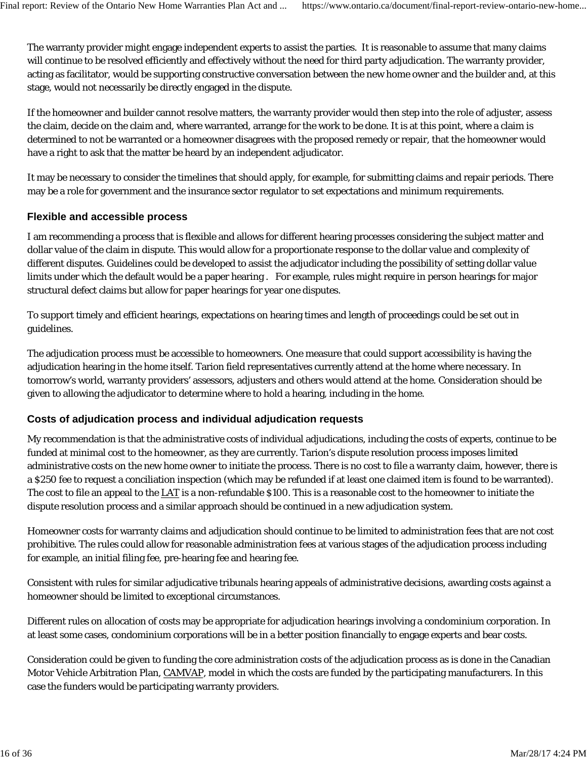The warranty provider might engage independent experts to assist the parties. It is reasonable to assume that many claims will continue to be resolved efficiently and effectively without the need for third party adjudication. The warranty provider, acting as facilitator, would be supporting constructive conversation between the new home owner and the builder and, at this stage, would not necessarily be directly engaged in the dispute.

If the homeowner and builder cannot resolve matters, the warranty provider would then step into the role of adjuster, assess the claim, decide on the claim and, where warranted, arrange for the work to be done. It is at this point, where a claim is determined to not be warranted or a homeowner disagrees with the proposed remedy or repair, that the homeowner would have a right to ask that the matter be heard by an independent adjudicator.

It may be necessary to consider the timelines that should apply, for example, for submitting claims and repair periods. There may be a role for government and the insurance sector regulator to set expectations and minimum requirements.

# **Flexible and accessible process**

I am recommending a process that is flexible and allows for different hearing processes considering the subject matter and dollar value of the claim in dispute. This would allow for a proportionate response to the dollar value and complexity of different disputes. Guidelines could be developed to assist the adjudicator including the possibility of setting dollar value limits under which the default would be a paper hearing . For example, rules might require in person hearings for major structural defect claims but allow for paper hearings for year one disputes.

To support timely and efficient hearings, expectations on hearing times and length of proceedings could be set out in guidelines.

The adjudication process must be accessible to homeowners. One measure that could support accessibility is having the adjudication hearing in the home itself. Tarion field representatives currently attend at the home where necessary. In tomorrow's world, warranty providers' assessors, adjusters and others would attend at the home. Consideration should be given to allowing the adjudicator to determine where to hold a hearing, including in the home.

# **Costs of adjudication process and individual adjudication requests**

My recommendation is that the administrative costs of individual adjudications, including the costs of experts, continue to be funded at minimal cost to the homeowner, as they are currently. Tarion's dispute resolution process imposes limited administrative costs on the new home owner to initiate the process. There is no cost to file a warranty claim, however, there is a \$250 fee to request a conciliation inspection (which may be refunded if at least one claimed item is found to be warranted). The cost to file an appeal to the LAT is a non-refundable \$100. This is a reasonable cost to the homeowner to initiate the dispute resolution process and a similar approach should be continued in a new adjudication system.

Homeowner costs for warranty claims and adjudication should continue to be limited to administration fees that are not cost prohibitive. The rules could allow for reasonable administration fees at various stages of the adjudication process including for example, an initial filing fee, pre-hearing fee and hearing fee.

Consistent with rules for similar adjudicative tribunals hearing appeals of administrative decisions, awarding costs against a homeowner should be limited to exceptional circumstances.

Different rules on allocation of costs may be appropriate for adjudication hearings involving a condominium corporation. In at least some cases, condominium corporations will be in a better position financially to engage experts and bear costs.

Consideration could be given to funding the core administration costs of the adjudication process as is done in the Canadian Motor Vehicle Arbitration Plan, CAMVAP, model in which the costs are funded by the participating manufacturers. In this case the funders would be participating warranty providers.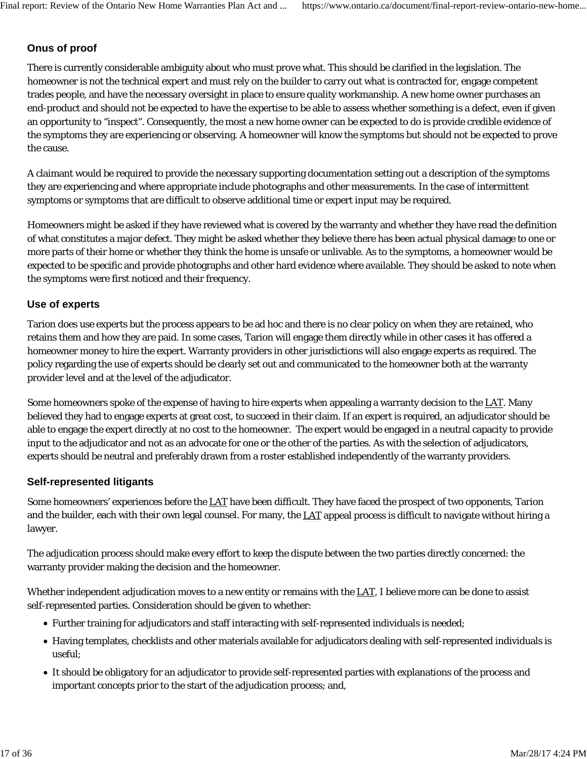# **Onus of proof**

There is currently considerable ambiguity about who must prove what. This should be clarified in the legislation. The homeowner is not the technical expert and must rely on the builder to carry out what is contracted for, engage competent trades people, and have the necessary oversight in place to ensure quality workmanship. A new home owner purchases an end-product and should not be expected to have the expertise to be able to assess whether something is a defect, even if given an opportunity to "inspect". Consequently, the most a new home owner can be expected to do is provide credible evidence of the symptoms they are experiencing or observing. A homeowner will know the symptoms but should not be expected to prove the cause.

A claimant would be required to provide the necessary supporting documentation setting out a description of the symptoms they are experiencing and where appropriate include photographs and other measurements. In the case of intermittent symptoms or symptoms that are difficult to observe additional time or expert input may be required.

Homeowners might be asked if they have reviewed what is covered by the warranty and whether they have read the definition of what constitutes a major defect. They might be asked whether they believe there has been actual physical damage to one or more parts of their home or whether they think the home is unsafe or unlivable. As to the symptoms, a homeowner would be expected to be specific and provide photographs and other hard evidence where available. They should be asked to note when the symptoms were first noticed and their frequency.

### **Use of experts**

Tarion does use experts but the process appears to be ad hoc and there is no clear policy on when they are retained, who retains them and how they are paid. In some cases, Tarion will engage them directly while in other cases it has offered a homeowner money to hire the expert. Warranty providers in other jurisdictions will also engage experts as required. The policy regarding the use of experts should be clearly set out and communicated to the homeowner both at the warranty provider level and at the level of the adjudicator.

Some homeowners spoke of the expense of having to hire experts when appealing a warranty decision to the LAT. Many believed they had to engage experts at great cost, to succeed in their claim. If an expert is required, an adjudicator should be able to engage the expert directly at no cost to the homeowner. The expert would be engaged in a neutral capacity to provide input to the adjudicator and not as an advocate for one or the other of the parties. As with the selection of adjudicators, experts should be neutral and preferably drawn from a roster established independently of the warranty providers.

### **Self-represented litigants**

Some homeowners' experiences before the LAT have been difficult. They have faced the prospect of two opponents, Tarion and the builder, each with their own legal counsel. For many, the LAT appeal process is difficult to navigate without hiring a lawyer.

The adjudication process should make every effort to keep the dispute between the two parties directly concerned: the warranty provider making the decision and the homeowner.

Whether independent adjudication moves to a new entity or remains with the LAT, I believe more can be done to assist self-represented parties. Consideration should be given to whether:

- Further training for adjudicators and staff interacting with self-represented individuals is needed;
- Having templates, checklists and other materials available for adjudicators dealing with self-represented individuals is useful;
- It should be obligatory for an adjudicator to provide self-represented parties with explanations of the process and important concepts prior to the start of the adjudication process; and,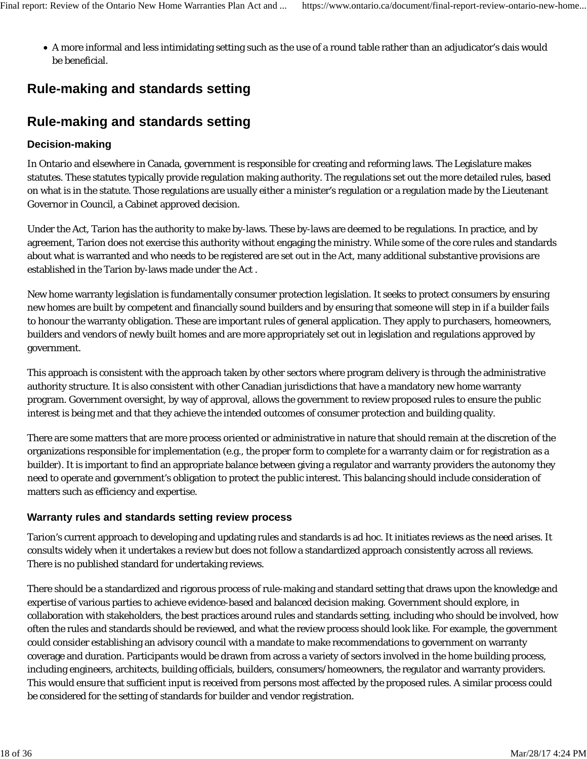A more informal and less intimidating setting such as the use of a round table rather than an adjudicator's dais would be beneficial.

# **Rule-making and standards setting**

# **Rule-making and standards setting**

# **Decision-making**

In Ontario and elsewhere in Canada, government is responsible for creating and reforming laws. The Legislature makes statutes. These statutes typically provide regulation making authority. The regulations set out the more detailed rules, based on what is in the statute. Those regulations are usually either a minister's regulation or a regulation made by the Lieutenant Governor in Council, a Cabinet approved decision.

Under the Act, Tarion has the authority to make by-laws. These by-laws are deemed to be regulations. In practice, and by agreement, Tarion does not exercise this authority without engaging the ministry. While some of the core rules and standards about what is warranted and who needs to be registered are set out in the Act, many additional substantive provisions are established in the Tarion by-laws made under the Act .

New home warranty legislation is fundamentally consumer protection legislation. It seeks to protect consumers by ensuring new homes are built by competent and financially sound builders and by ensuring that someone will step in if a builder fails to honour the warranty obligation. These are important rules of general application. They apply to purchasers, homeowners, builders and vendors of newly built homes and are more appropriately set out in legislation and regulations approved by government.

This approach is consistent with the approach taken by other sectors where program delivery is through the administrative authority structure. It is also consistent with other Canadian jurisdictions that have a mandatory new home warranty program. Government oversight, by way of approval, allows the government to review proposed rules to ensure the public interest is being met and that they achieve the intended outcomes of consumer protection and building quality.

There are some matters that are more process oriented or administrative in nature that should remain at the discretion of the organizations responsible for implementation (e.g., the proper form to complete for a warranty claim or for registration as a builder). It is important to find an appropriate balance between giving a regulator and warranty providers the autonomy they need to operate and government's obligation to protect the public interest. This balancing should include consideration of matters such as efficiency and expertise.

# **Warranty rules and standards setting review process**

Tarion's current approach to developing and updating rules and standards is ad hoc. It initiates reviews as the need arises. It consults widely when it undertakes a review but does not follow a standardized approach consistently across all reviews. There is no published standard for undertaking reviews.

There should be a standardized and rigorous process of rule-making and standard setting that draws upon the knowledge and expertise of various parties to achieve evidence-based and balanced decision making. Government should explore, in collaboration with stakeholders, the best practices around rules and standards setting, including who should be involved, how often the rules and standards should be reviewed, and what the review process should look like. For example, the government could consider establishing an advisory council with a mandate to make recommendations to government on warranty coverage and duration. Participants would be drawn from across a variety of sectors involved in the home building process, including engineers, architects, building officials, builders, consumers/homeowners, the regulator and warranty providers. This would ensure that sufficient input is received from persons most affected by the proposed rules. A similar process could be considered for the setting of standards for builder and vendor registration.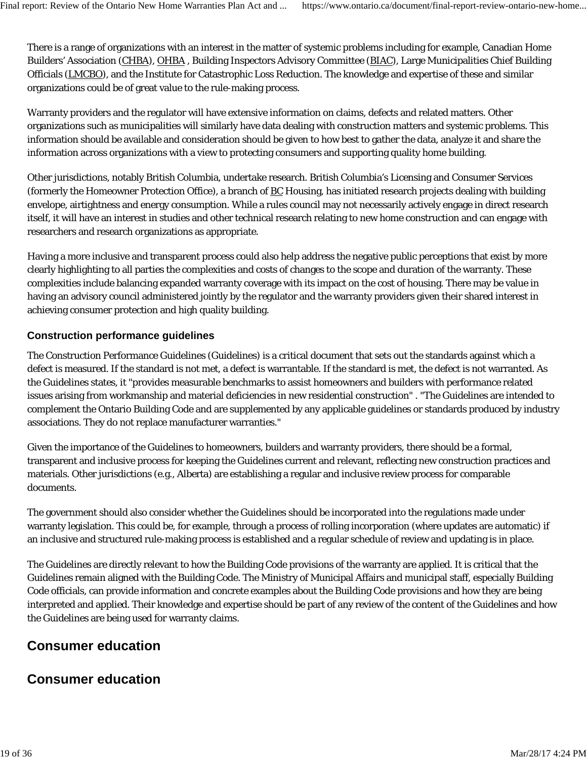There is a range of organizations with an interest in the matter of systemic problems including for example, Canadian Home Builders' Association (CHBA), OHBA , Building Inspectors Advisory Committee (BIAC), Large Municipalities Chief Building Officials (LMCBO), and the Institute for Catastrophic Loss Reduction. The knowledge and expertise of these and similar organizations could be of great value to the rule-making process.

Warranty providers and the regulator will have extensive information on claims, defects and related matters. Other organizations such as municipalities will similarly have data dealing with construction matters and systemic problems. This information should be available and consideration should be given to how best to gather the data, analyze it and share the information across organizations with a view to protecting consumers and supporting quality home building.

Other jurisdictions, notably British Columbia, undertake research. British Columbia's Licensing and Consumer Services (formerly the Homeowner Protection Office), a branch of BC Housing, has initiated research projects dealing with building envelope, airtightness and energy consumption. While a rules council may not necessarily actively engage in direct research itself, it will have an interest in studies and other technical research relating to new home construction and can engage with researchers and research organizations as appropriate.

Having a more inclusive and transparent process could also help address the negative public perceptions that exist by more clearly highlighting to all parties the complexities and costs of changes to the scope and duration of the warranty. These complexities include balancing expanded warranty coverage with its impact on the cost of housing. There may be value in having an advisory council administered jointly by the regulator and the warranty providers given their shared interest in achieving consumer protection and high quality building.

#### **Construction performance guidelines**

The Construction Performance Guidelines (Guidelines) is a critical document that sets out the standards against which a defect is measured. If the standard is not met, a defect is warrantable. If the standard is met, the defect is not warranted. As the Guidelines states, it "provides measurable benchmarks to assist homeowners and builders with performance related issues arising from workmanship and material deficiencies in new residential construction" . "The Guidelines are intended to complement the Ontario Building Code and are supplemented by any applicable guidelines or standards produced by industry associations. They do not replace manufacturer warranties."

Given the importance of the Guidelines to homeowners, builders and warranty providers, there should be a formal, transparent and inclusive process for keeping the Guidelines current and relevant, reflecting new construction practices and materials. Other jurisdictions (e.g., Alberta) are establishing a regular and inclusive review process for comparable documents.

The government should also consider whether the Guidelines should be incorporated into the regulations made under warranty legislation. This could be, for example, through a process of rolling incorporation (where updates are automatic) if an inclusive and structured rule-making process is established and a regular schedule of review and updating is in place.

The Guidelines are directly relevant to how the Building Code provisions of the warranty are applied. It is critical that the Guidelines remain aligned with the Building Code. The Ministry of Municipal Affairs and municipal staff, especially Building Code officials, can provide information and concrete examples about the Building Code provisions and how they are being interpreted and applied. Their knowledge and expertise should be part of any review of the content of the Guidelines and how the Guidelines are being used for warranty claims.

# **Consumer education**

# **Consumer education**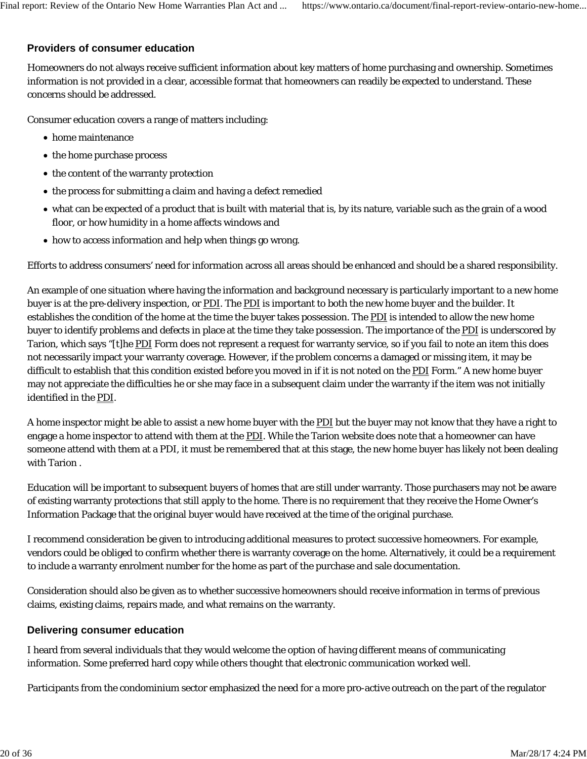#### **Providers of consumer education**

Homeowners do not always receive sufficient information about key matters of home purchasing and ownership. Sometimes information is not provided in a clear, accessible format that homeowners can readily be expected to understand. These concerns should be addressed.

Consumer education covers a range of matters including:

- home maintenance
- the home purchase process
- the content of the warranty protection
- the process for submitting a claim and having a defect remedied
- what can be expected of a product that is built with material that is, by its nature, variable such as the grain of a wood floor, or how humidity in a home affects windows and
- how to access information and help when things go wrong.

Efforts to address consumers' need for information across all areas should be enhanced and should be a shared responsibility.

An example of one situation where having the information and background necessary is particularly important to a new home buyer is at the pre-delivery inspection, or PDI. The PDI is important to both the new home buyer and the builder. It establishes the condition of the home at the time the buyer takes possession. The PDI is intended to allow the new home buyer to identify problems and defects in place at the time they take possession. The importance of the PDI is underscored by Tarion, which says "[t]he PDI Form does not represent a request for warranty service, so if you fail to note an item this does not necessarily impact your warranty coverage. However, if the problem concerns a damaged or missing item, it may be difficult to establish that this condition existed before you moved in if it is not noted on the PDI Form." A new home buyer may not appreciate the difficulties he or she may face in a subsequent claim under the warranty if the item was not initially identified in the PDI.

A home inspector might be able to assist a new home buyer with the PDI but the buyer may not know that they have a right to engage a home inspector to attend with them at the PDI. While the Tarion website does note that a homeowner can have someone attend with them at a PDI, it must be remembered that at this stage, the new home buyer has likely not been dealing with Tarion .

Education will be important to subsequent buyers of homes that are still under warranty. Those purchasers may not be aware of existing warranty protections that still apply to the home. There is no requirement that they receive the Home Owner's Information Package that the original buyer would have received at the time of the original purchase.

I recommend consideration be given to introducing additional measures to protect successive homeowners. For example, vendors could be obliged to confirm whether there is warranty coverage on the home. Alternatively, it could be a requirement to include a warranty enrolment number for the home as part of the purchase and sale documentation.

Consideration should also be given as to whether successive homeowners should receive information in terms of previous claims, existing claims, repairs made, and what remains on the warranty.

#### **Delivering consumer education**

I heard from several individuals that they would welcome the option of having different means of communicating information. Some preferred hard copy while others thought that electronic communication worked well.

Participants from the condominium sector emphasized the need for a more pro-active outreach on the part of the regulator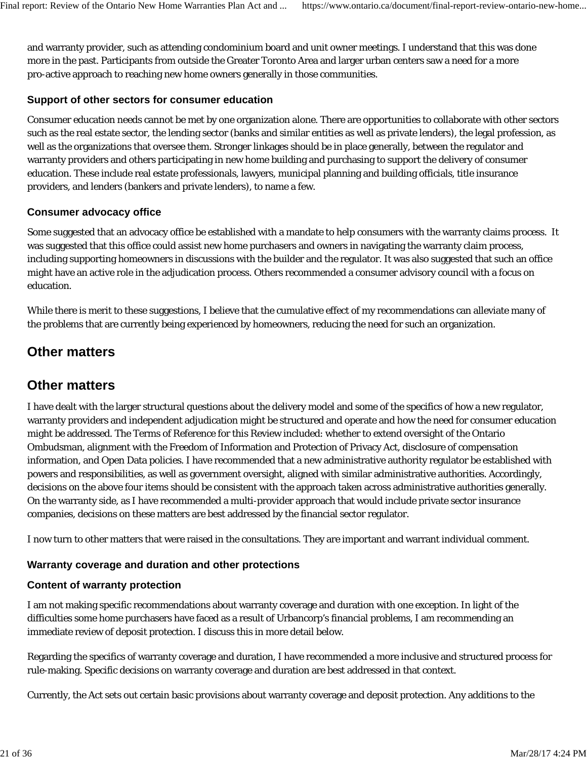and warranty provider, such as attending condominium board and unit owner meetings. I understand that this was done more in the past. Participants from outside the Greater Toronto Area and larger urban centers saw a need for a more pro-active approach to reaching new home owners generally in those communities.

# **Support of other sectors for consumer education**

Consumer education needs cannot be met by one organization alone. There are opportunities to collaborate with other sectors such as the real estate sector, the lending sector (banks and similar entities as well as private lenders), the legal profession, as well as the organizations that oversee them. Stronger linkages should be in place generally, between the regulator and warranty providers and others participating in new home building and purchasing to support the delivery of consumer education. These include real estate professionals, lawyers, municipal planning and building officials, title insurance providers, and lenders (bankers and private lenders), to name a few.

# **Consumer advocacy office**

Some suggested that an advocacy office be established with a mandate to help consumers with the warranty claims process. It was suggested that this office could assist new home purchasers and owners in navigating the warranty claim process, including supporting homeowners in discussions with the builder and the regulator. It was also suggested that such an office might have an active role in the adjudication process. Others recommended a consumer advisory council with a focus on education.

While there is merit to these suggestions, I believe that the cumulative effect of my recommendations can alleviate many of the problems that are currently being experienced by homeowners, reducing the need for such an organization.

# **Other matters**

# **Other matters**

I have dealt with the larger structural questions about the delivery model and some of the specifics of how a new regulator, warranty providers and independent adjudication might be structured and operate and how the need for consumer education might be addressed. The Terms of Reference for this Review included: whether to extend oversight of the Ontario Ombudsman, alignment with the Freedom of Information and Protection of Privacy Act, disclosure of compensation information, and Open Data policies. I have recommended that a new administrative authority regulator be established with powers and responsibilities, as well as government oversight, aligned with similar administrative authorities. Accordingly, decisions on the above four items should be consistent with the approach taken across administrative authorities generally. On the warranty side, as I have recommended a multi-provider approach that would include private sector insurance companies, decisions on these matters are best addressed by the financial sector regulator.

I now turn to other matters that were raised in the consultations. They are important and warrant individual comment.

# **Warranty coverage and duration and other protections**

### **Content of warranty protection**

I am not making specific recommendations about warranty coverage and duration with one exception. In light of the difficulties some home purchasers have faced as a result of Urbancorp's financial problems, I am recommending an immediate review of deposit protection. I discuss this in more detail below.

Regarding the specifics of warranty coverage and duration, I have recommended a more inclusive and structured process for rule-making. Specific decisions on warranty coverage and duration are best addressed in that context.

Currently, the Act sets out certain basic provisions about warranty coverage and deposit protection. Any additions to the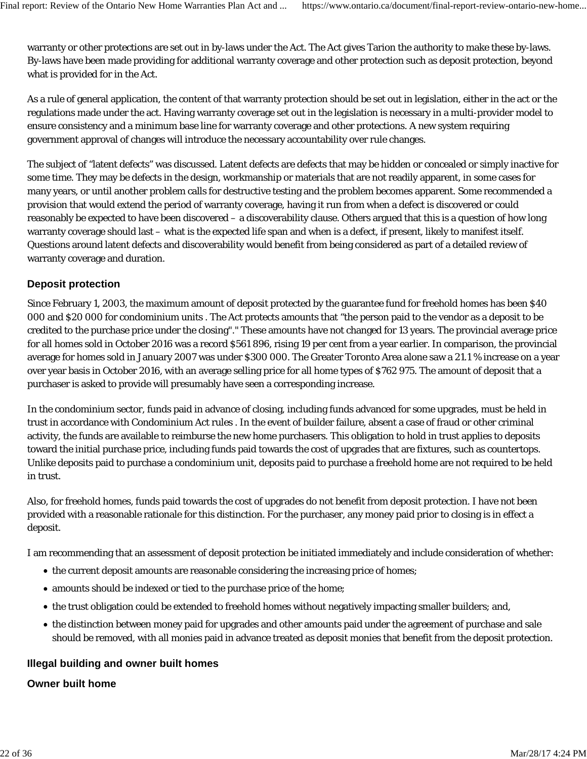warranty or other protections are set out in by-laws under the Act. The Act gives Tarion the authority to make these by-laws. By-laws have been made providing for additional warranty coverage and other protection such as deposit protection, beyond what is provided for in the Act.

As a rule of general application, the content of that warranty protection should be set out in legislation, either in the act or the regulations made under the act. Having warranty coverage set out in the legislation is necessary in a multi-provider model to ensure consistency and a minimum base line for warranty coverage and other protections. A new system requiring government approval of changes will introduce the necessary accountability over rule changes.

The subject of "latent defects" was discussed. Latent defects are defects that may be hidden or concealed or simply inactive for some time. They may be defects in the design, workmanship or materials that are not readily apparent, in some cases for many years, or until another problem calls for destructive testing and the problem becomes apparent. Some recommended a provision that would extend the period of warranty coverage, having it run from when a defect is discovered or could reasonably be expected to have been discovered – a discoverability clause. Others argued that this is a question of how long warranty coverage should last – what is the expected life span and when is a defect, if present, likely to manifest itself. Questions around latent defects and discoverability would benefit from being considered as part of a detailed review of warranty coverage and duration.

# **Deposit protection**

Since February 1, 2003, the maximum amount of deposit protected by the guarantee fund for freehold homes has been \$40 000 and \$20 000 for condominium units . The Act protects amounts that "the person paid to the vendor as a deposit to be credited to the purchase price under the closing"." These amounts have not changed for 13 years. The provincial average price for all homes sold in October 2016 was a record \$561 896, rising 19 per cent from a year earlier. In comparison, the provincial average for homes sold in January 2007 was under \$300 000. The Greater Toronto Area alone saw a 21.1 % increase on a year over year basis in October 2016, with an average selling price for all home types of \$762 975. The amount of deposit that a purchaser is asked to provide will presumably have seen a corresponding increase.

In the condominium sector, funds paid in advance of closing, including funds advanced for some upgrades, must be held in trust in accordance with Condominium Act rules . In the event of builder failure, absent a case of fraud or other criminal activity, the funds are available to reimburse the new home purchasers. This obligation to hold in trust applies to deposits toward the initial purchase price, including funds paid towards the cost of upgrades that are fixtures, such as countertops. Unlike deposits paid to purchase a condominium unit, deposits paid to purchase a freehold home are not required to be held in trust.

Also, for freehold homes, funds paid towards the cost of upgrades do not benefit from deposit protection. I have not been provided with a reasonable rationale for this distinction. For the purchaser, any money paid prior to closing is in effect a deposit.

I am recommending that an assessment of deposit protection be initiated immediately and include consideration of whether:

- the current deposit amounts are reasonable considering the increasing price of homes;
- amounts should be indexed or tied to the purchase price of the home;
- the trust obligation could be extended to freehold homes without negatively impacting smaller builders; and,
- the distinction between money paid for upgrades and other amounts paid under the agreement of purchase and sale should be removed, with all monies paid in advance treated as deposit monies that benefit from the deposit protection.

#### **Illegal building and owner built homes**

### **Owner built home**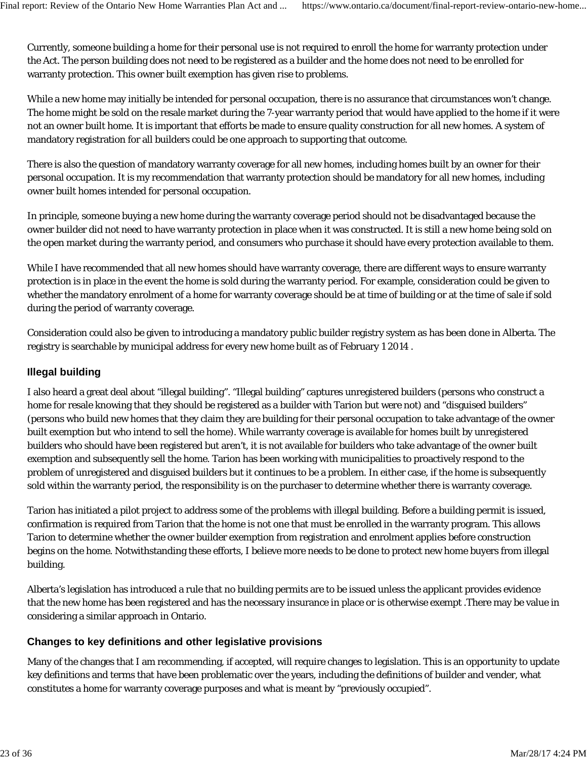Currently, someone building a home for their personal use is not required to enroll the home for warranty protection under the Act. The person building does not need to be registered as a builder and the home does not need to be enrolled for warranty protection. This owner built exemption has given rise to problems.

While a new home may initially be intended for personal occupation, there is no assurance that circumstances won't change. The home might be sold on the resale market during the 7-year warranty period that would have applied to the home if it were not an owner built home. It is important that efforts be made to ensure quality construction for all new homes. A system of mandatory registration for all builders could be one approach to supporting that outcome.

There is also the question of mandatory warranty coverage for all new homes, including homes built by an owner for their personal occupation. It is my recommendation that warranty protection should be mandatory for all new homes, including owner built homes intended for personal occupation.

In principle, someone buying a new home during the warranty coverage period should not be disadvantaged because the owner builder did not need to have warranty protection in place when it was constructed. It is still a new home being sold on the open market during the warranty period, and consumers who purchase it should have every protection available to them.

While I have recommended that all new homes should have warranty coverage, there are different ways to ensure warranty protection is in place in the event the home is sold during the warranty period. For example, consideration could be given to whether the mandatory enrolment of a home for warranty coverage should be at time of building or at the time of sale if sold during the period of warranty coverage.

Consideration could also be given to introducing a mandatory public builder registry system as has been done in Alberta. The registry is searchable by municipal address for every new home built as of February 1 2014 .

# **Illegal building**

I also heard a great deal about "illegal building". "Illegal building" captures unregistered builders (persons who construct a home for resale knowing that they should be registered as a builder with Tarion but were not) and "disguised builders" (persons who build new homes that they claim they are building for their personal occupation to take advantage of the owner built exemption but who intend to sell the home). While warranty coverage is available for homes built by unregistered builders who should have been registered but aren't, it is not available for builders who take advantage of the owner built exemption and subsequently sell the home. Tarion has been working with municipalities to proactively respond to the problem of unregistered and disguised builders but it continues to be a problem. In either case, if the home is subsequently sold within the warranty period, the responsibility is on the purchaser to determine whether there is warranty coverage.

Tarion has initiated a pilot project to address some of the problems with illegal building. Before a building permit is issued, confirmation is required from Tarion that the home is not one that must be enrolled in the warranty program. This allows Tarion to determine whether the owner builder exemption from registration and enrolment applies before construction begins on the home. Notwithstanding these efforts, I believe more needs to be done to protect new home buyers from illegal building.

Alberta's legislation has introduced a rule that no building permits are to be issued unless the applicant provides evidence that the new home has been registered and has the necessary insurance in place or is otherwise exempt .There may be value in considering a similar approach in Ontario.

# **Changes to key definitions and other legislative provisions**

Many of the changes that I am recommending, if accepted, will require changes to legislation. This is an opportunity to update key definitions and terms that have been problematic over the years, including the definitions of builder and vender, what constitutes a home for warranty coverage purposes and what is meant by "previously occupied".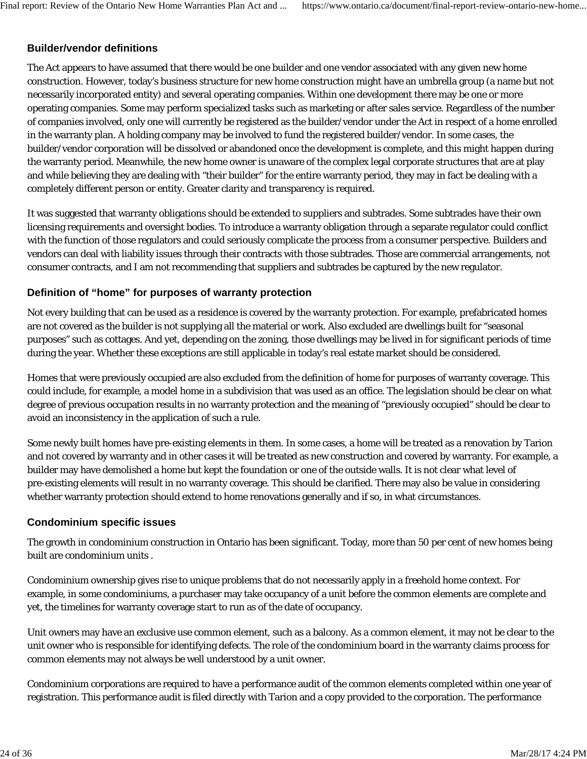# **Builder/vendor definitions**

The Act appears to have assumed that there would be one builder and one vendor associated with any given new home construction. However, today's business structure for new home construction might have an umbrella group (a name but not necessarily incorporated entity) and several operating companies. Within one development there may be one or more operating companies. Some may perform specialized tasks such as marketing or after sales service. Regardless of the number of companies involved, only one will currently be registered as the builder/vendor under the Act in respect of a home enrolled in the warranty plan. A holding company may be involved to fund the registered builder/vendor. In some cases, the builder/vendor corporation will be dissolved or abandoned once the development is complete, and this might happen during the warranty period. Meanwhile, the new home owner is unaware of the complex legal corporate structures that are at play and while believing they are dealing with "their builder" for the entire warranty period, they may in fact be dealing with a completely different person or entity. Greater clarity and transparency is required.

It was suggested that warranty obligations should be extended to suppliers and subtrades. Some subtrades have their own licensing requirements and oversight bodies. To introduce a warranty obligation through a separate regulator could conflict with the function of those regulators and could seriously complicate the process from a consumer perspective. Builders and vendors can deal with liability issues through their contracts with those subtrades. Those are commercial arrangements, not consumer contracts, and I am not recommending that suppliers and subtrades be captured by the new regulator.

### **Definition of "home" for purposes of warranty protection**

Not every building that can be used as a residence is covered by the warranty protection. For example, prefabricated homes are not covered as the builder is not supplying all the material or work. Also excluded are dwellings built for "seasonal purposes" such as cottages. And yet, depending on the zoning, those dwellings may be lived in for significant periods of time during the year. Whether these exceptions are still applicable in today's real estate market should be considered.

Homes that were previously occupied are also excluded from the definition of home for purposes of warranty coverage. This could include, for example, a model home in a subdivision that was used as an office. The legislation should be clear on what degree of previous occupation results in no warranty protection and the meaning of "previously occupied" should be clear to avoid an inconsistency in the application of such a rule.

Some newly built homes have pre-existing elements in them. In some cases, a home will be treated as a renovation by Tarion and not covered by warranty and in other cases it will be treated as new construction and covered by warranty. For example, a builder may have demolished a home but kept the foundation or one of the outside walls. It is not clear what level of pre-existing elements will result in no warranty coverage. This should be clarified. There may also be value in considering whether warranty protection should extend to home renovations generally and if so, in what circumstances.

### **Condominium specific issues**

The growth in condominium construction in Ontario has been significant. Today, more than 50 per cent of new homes being built are condominium units .

Condominium ownership gives rise to unique problems that do not necessarily apply in a freehold home context. For example, in some condominiums, a purchaser may take occupancy of a unit before the common elements are complete and yet, the timelines for warranty coverage start to run as of the date of occupancy.

Unit owners may have an exclusive use common element, such as a balcony. As a common element, it may not be clear to the unit owner who is responsible for identifying defects. The role of the condominium board in the warranty claims process for common elements may not always be well understood by a unit owner.

Condominium corporations are required to have a performance audit of the common elements completed within one year of registration. This performance audit is filed directly with Tarion and a copy provided to the corporation. The performance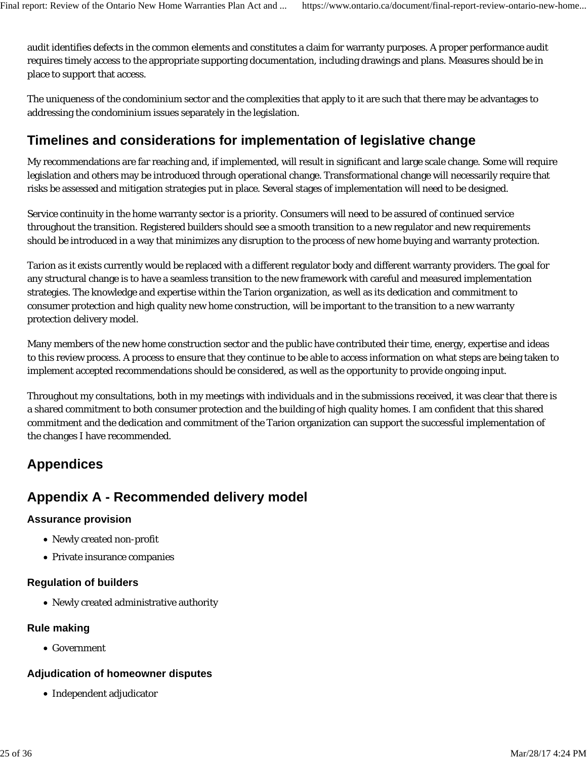audit identifies defects in the common elements and constitutes a claim for warranty purposes. A proper performance audit requires timely access to the appropriate supporting documentation, including drawings and plans. Measures should be in place to support that access.

The uniqueness of the condominium sector and the complexities that apply to it are such that there may be advantages to addressing the condominium issues separately in the legislation.

# **Timelines and considerations for implementation of legislative change**

My recommendations are far reaching and, if implemented, will result in significant and large scale change. Some will require legislation and others may be introduced through operational change. Transformational change will necessarily require that risks be assessed and mitigation strategies put in place. Several stages of implementation will need to be designed.

Service continuity in the home warranty sector is a priority. Consumers will need to be assured of continued service throughout the transition. Registered builders should see a smooth transition to a new regulator and new requirements should be introduced in a way that minimizes any disruption to the process of new home buying and warranty protection.

Tarion as it exists currently would be replaced with a different regulator body and different warranty providers. The goal for any structural change is to have a seamless transition to the new framework with careful and measured implementation strategies. The knowledge and expertise within the Tarion organization, as well as its dedication and commitment to consumer protection and high quality new home construction, will be important to the transition to a new warranty protection delivery model.

Many members of the new home construction sector and the public have contributed their time, energy, expertise and ideas to this review process. A process to ensure that they continue to be able to access information on what steps are being taken to implement accepted recommendations should be considered, as well as the opportunity to provide ongoing input.

Throughout my consultations, both in my meetings with individuals and in the submissions received, it was clear that there is a shared commitment to both consumer protection and the building of high quality homes. I am confident that this shared commitment and the dedication and commitment of the Tarion organization can support the successful implementation of the changes I have recommended.

# **Appendices**

# **Appendix A - Recommended delivery model**

### **Assurance provision**

- Newly created non-profit
- Private insurance companies

### **Regulation of builders**

Newly created administrative authority

### **Rule making**

Government

### **Adjudication of homeowner disputes**

• Independent adjudicator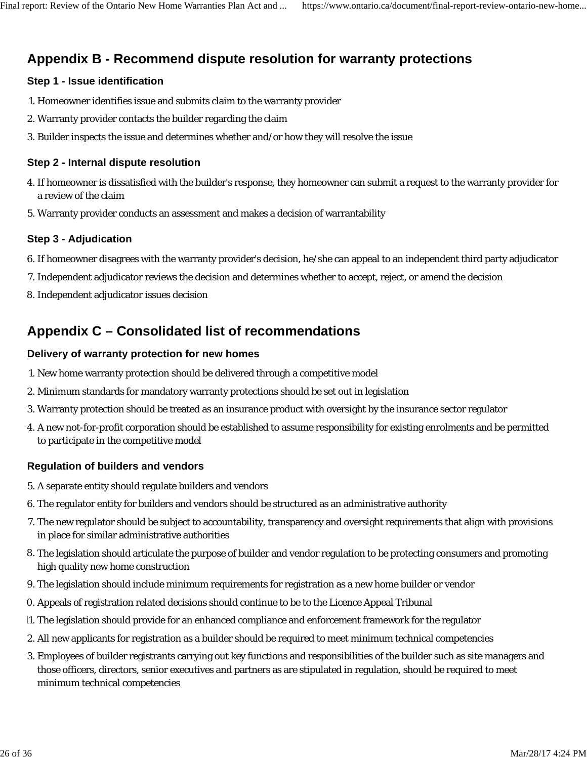# **Appendix B - Recommend dispute resolution for warranty protections**

#### **Step 1 - Issue identification**

- 1. Homeowner identifies issue and submits claim to the warranty provider
- 2. Warranty provider contacts the builder regarding the claim
- 3. Builder inspects the issue and determines whether and/or how they will resolve the issue

#### **Step 2 - Internal dispute resolution**

- If homeowner is dissatisfied with the builder's response, they homeowner can submit a request to the warranty provider for 4. a review of the claim
- 5. Warranty provider conducts an assessment and makes a decision of warrantability

#### **Step 3 - Adjudication**

- 6. If homeowner disagrees with the warranty provider's decision, he/she can appeal to an independent third party adjudicator
- 7. Independent adjudicator reviews the decision and determines whether to accept, reject, or amend the decision
- 8. Independent adjudicator issues decision

# **Appendix C – Consolidated list of recommendations**

#### **Delivery of warranty protection for new homes**

- 1. New home warranty protection should be delivered through a competitive model
- 2. Minimum standards for mandatory warranty protections should be set out in legislation
- 3. Warranty protection should be treated as an insurance product with oversight by the insurance sector regulator
- A new not-for-profit corporation should be established to assume responsibility for existing enrolments and be permitted 4. to participate in the competitive model

### **Regulation of builders and vendors**

- 5. A separate entity should regulate builders and vendors
- 6. The regulator entity for builders and vendors should be structured as an administrative authority
- The new regulator should be subject to accountability, transparency and oversight requirements that align with provisions 7. in place for similar administrative authorities
- The legislation should articulate the purpose of builder and vendor regulation to be protecting consumers and promoting 8. high quality new home construction
- 9. The legislation should include minimum requirements for registration as a new home builder or vendor
- 0. Appeals of registration related decisions should continue to be to the Licence Appeal Tribunal
- 11. The legislation should provide for an enhanced compliance and enforcement framework for the regulator
- 2. All new applicants for registration as a builder should be required to meet minimum technical competencies
- Employees of builder registrants carrying out key functions and responsibilities of the builder such as site managers and 3. those officers, directors, senior executives and partners as are stipulated in regulation, should be required to meet minimum technical competencies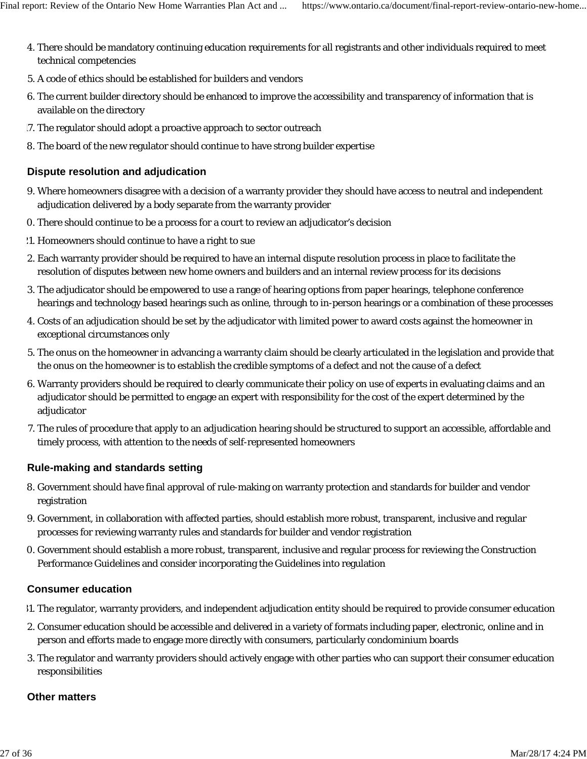- There should be mandatory continuing education requirements for all registrants and other individuals required to meet 4. technical competencies
- 5. A code of ethics should be established for builders and vendors
- 6. The current builder directory should be enhanced to improve the accessibility and transparency of information that is available on the directory
- 17. The regulator should adopt a proactive approach to sector outreach
- 8. The board of the new regulator should continue to have strong builder expertise

### **Dispute resolution and adjudication**

- 9. Where homeowners disagree with a decision of a warranty provider they should have access to neutral and independent adjudication delivered by a body separate from the warranty provider
- 0. There should continue to be a process for a court to review an adjudicator's decision
- 21. Homeowners should continue to have a right to sue
- Each warranty provider should be required to have an internal dispute resolution process in place to facilitate the 2. resolution of disputes between new home owners and builders and an internal review process for its decisions
- The adjudicator should be empowered to use a range of hearing options from paper hearings, telephone conference 3. hearings and technology based hearings such as online, through to in-person hearings or a combination of these processes
- Costs of an adjudication should be set by the adjudicator with limited power to award costs against the homeowner in 4. exceptional circumstances only
- The onus on the homeowner in advancing a warranty claim should be clearly articulated in the legislation and provide that 5. the onus on the homeowner is to establish the credible symptoms of a defect and not the cause of a defect
- 6. Warranty providers should be required to clearly communicate their policy on use of experts in evaluating claims and an adjudicator should be permitted to engage an expert with responsibility for the cost of the expert determined by the adjudicator
- 7. The rules of procedure that apply to an adjudication hearing should be structured to support an accessible, affordable and timely process, with attention to the needs of self-represented homeowners

### **Rule-making and standards setting**

- Government should have final approval of rule-making on warranty protection and standards for builder and vendor 8. registration
- Government, in collaboration with affected parties, should establish more robust, transparent, inclusive and regular 9. processes for reviewing warranty rules and standards for builder and vendor registration
- 0. Government should establish a more robust, transparent, inclusive and regular process for reviewing the Construction Performance Guidelines and consider incorporating the Guidelines into regulation

### **Consumer education**

- 31. The regulator, warranty providers, and independent adjudication entity should be required to provide consumer education
- Consumer education should be accessible and delivered in a variety of formats including paper, electronic, online and in 2. person and efforts made to engage more directly with consumers, particularly condominium boards
- The regulator and warranty providers should actively engage with other parties who can support their consumer education 3. responsibilities

### **Other matters**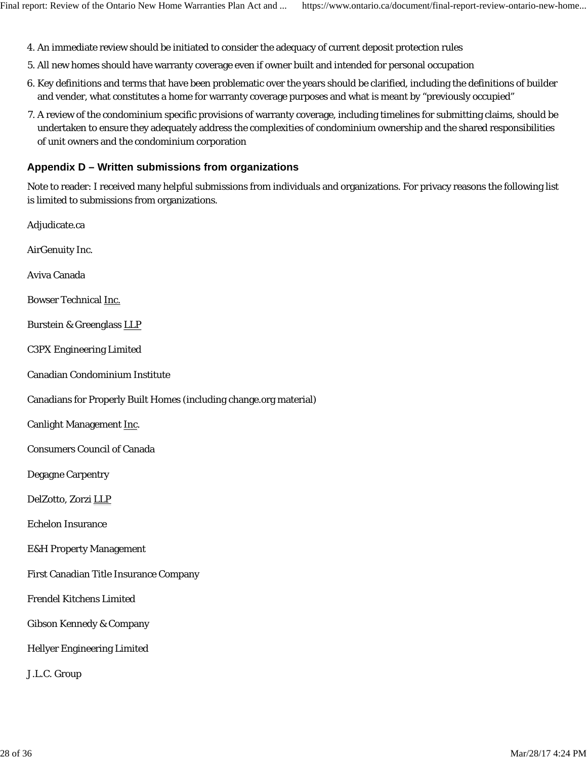- 4. An immediate review should be initiated to consider the adequacy of current deposit protection rules
- 5. All new homes should have warranty coverage even if owner built and intended for personal occupation
- 6. Key definitions and terms that have been problematic over the years should be clarified, including the definitions of builder and vender, what constitutes a home for warranty coverage purposes and what is meant by "previously occupied"
- A review of the condominium specific provisions of warranty coverage, including timelines for submitting claims, should be 7. undertaken to ensure they adequately address the complexities of condominium ownership and the shared responsibilities of unit owners and the condominium corporation

# **Appendix D – Written submissions from organizations**

Note to reader: I received many helpful submissions from individuals and organizations. For privacy reasons the following list is limited to submissions from organizations.

| Adjudicate.ca                                                      |
|--------------------------------------------------------------------|
| AirGenuity Inc.                                                    |
| Aviva Canada                                                       |
| <b>Bowser Technical Inc.</b>                                       |
| <b>Burstein &amp; Greenglass LLP</b>                               |
| <b>C3PX Engineering Limited</b>                                    |
| <b>Canadian Condominium Institute</b>                              |
| Canadians for Properly Built Homes (including change.org material) |
| Canlight Management Inc.                                           |
| <b>Consumers Council of Canada</b>                                 |
| <b>Degagne Carpentry</b>                                           |
| DelZotto, Zorzi LLP                                                |
| <b>Echelon Insurance</b>                                           |
| <b>E&amp;H Property Management</b>                                 |
| First Canadian Title Insurance Company                             |
| <b>Frendel Kitchens Limited</b>                                    |
| <b>Gibson Kennedy &amp; Company</b>                                |
| <b>Hellyer Engineering Limited</b>                                 |
| J.L.C. Group                                                       |
|                                                                    |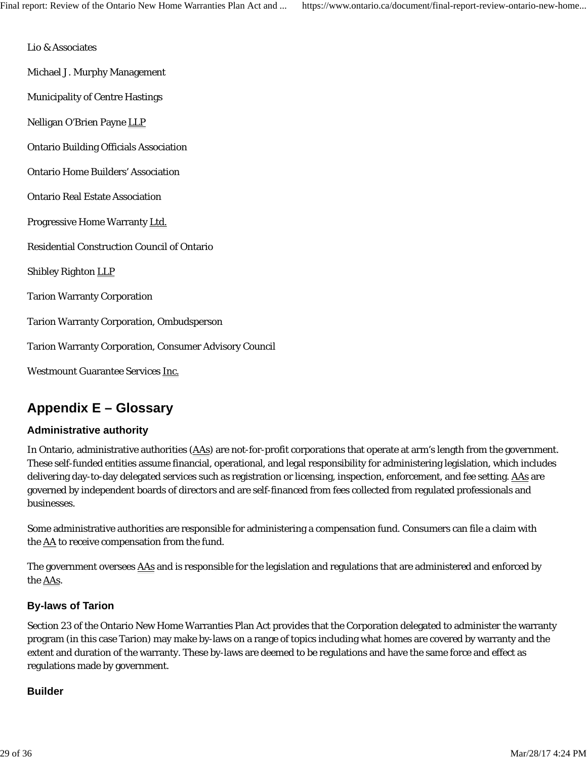Lio & Associates

Michael J. Murphy Management

Municipality of Centre Hastings

Nelligan O'Brien Payne LLP

- Ontario Building Officials Association
- Ontario Home Builders' Association
- Ontario Real Estate Association
- Progressive Home Warranty Ltd.
- Residential Construction Council of Ontario

Shibley Righton LLP

Tarion Warranty Corporation

Tarion Warranty Corporation, Ombudsperson

Tarion Warranty Corporation, Consumer Advisory Council

Westmount Guarantee Services Inc.

# **Appendix E – Glossary**

### **Administrative authority**

In Ontario, administrative authorities (AAs) are not-for-profit corporations that operate at arm's length from the government. These self-funded entities assume financial, operational, and legal responsibility for administering legislation, which includes delivering day-to-day delegated services such as registration or licensing, inspection, enforcement, and fee setting. AAs are governed by independent boards of directors and are self-financed from fees collected from regulated professionals and businesses.

Some administrative authorities are responsible for administering a compensation fund. Consumers can file a claim with the  $\underline{AA}$  to receive compensation from the fund.

The government oversees AAs and is responsible for the legislation and regulations that are administered and enforced by the AAs.

### **By-laws of Tarion**

Section 23 of the Ontario New Home Warranties Plan Act provides that the Corporation delegated to administer the warranty program (in this case Tarion) may make by-laws on a range of topics including what homes are covered by warranty and the extent and duration of the warranty. These by-laws are deemed to be regulations and have the same force and effect as regulations made by government.

### **Builder**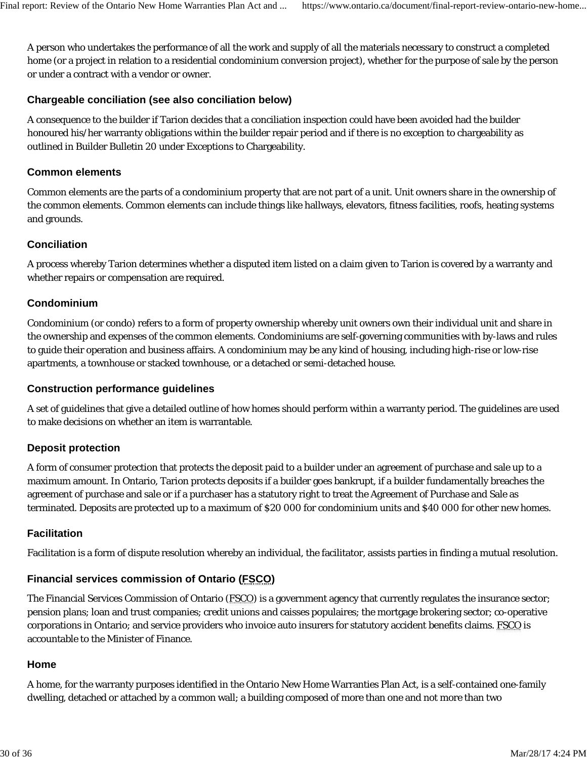A person who undertakes the performance of all the work and supply of all the materials necessary to construct a completed home (or a project in relation to a residential condominium conversion project), whether for the purpose of sale by the person or under a contract with a vendor or owner.

# **Chargeable conciliation (see also conciliation below)**

A consequence to the builder if Tarion decides that a conciliation inspection could have been avoided had the builder honoured his/her warranty obligations within the builder repair period and if there is no exception to chargeability as outlined in Builder Bulletin 20 under Exceptions to Chargeability.

### **Common elements**

Common elements are the parts of a condominium property that are not part of a unit. Unit owners share in the ownership of the common elements. Common elements can include things like hallways, elevators, fitness facilities, roofs, heating systems and grounds.

# **Conciliation**

A process whereby Tarion determines whether a disputed item listed on a claim given to Tarion is covered by a warranty and whether repairs or compensation are required.

# **Condominium**

Condominium (or condo) refers to a form of property ownership whereby unit owners own their individual unit and share in the ownership and expenses of the common elements. Condominiums are self-governing communities with by-laws and rules to guide their operation and business affairs. A condominium may be any kind of housing, including high-rise or low-rise apartments, a townhouse or stacked townhouse, or a detached or semi-detached house.

### **Construction performance guidelines**

A set of guidelines that give a detailed outline of how homes should perform within a warranty period. The guidelines are used to make decisions on whether an item is warrantable.

### **Deposit protection**

A form of consumer protection that protects the deposit paid to a builder under an agreement of purchase and sale up to a maximum amount. In Ontario, Tarion protects deposits if a builder goes bankrupt, if a builder fundamentally breaches the agreement of purchase and sale or if a purchaser has a statutory right to treat the Agreement of Purchase and Sale as terminated. Deposits are protected up to a maximum of \$20 000 for condominium units and \$40 000 for other new homes.

### **Facilitation**

Facilitation is a form of dispute resolution whereby an individual, the facilitator, assists parties in finding a mutual resolution.

### **Financial services commission of Ontario (FSCO)**

The Financial Services Commission of Ontario (FSCO) is a government agency that currently regulates the insurance sector; pension plans; loan and trust companies; credit unions and caisses populaires; the mortgage brokering sector; co-operative corporations in Ontario; and service providers who invoice auto insurers for statutory accident benefits claims. FSCO is accountable to the Minister of Finance.

### **Home**

A home, for the warranty purposes identified in the Ontario New Home Warranties Plan Act, is a self-contained one-family dwelling, detached or attached by a common wall; a building composed of more than one and not more than two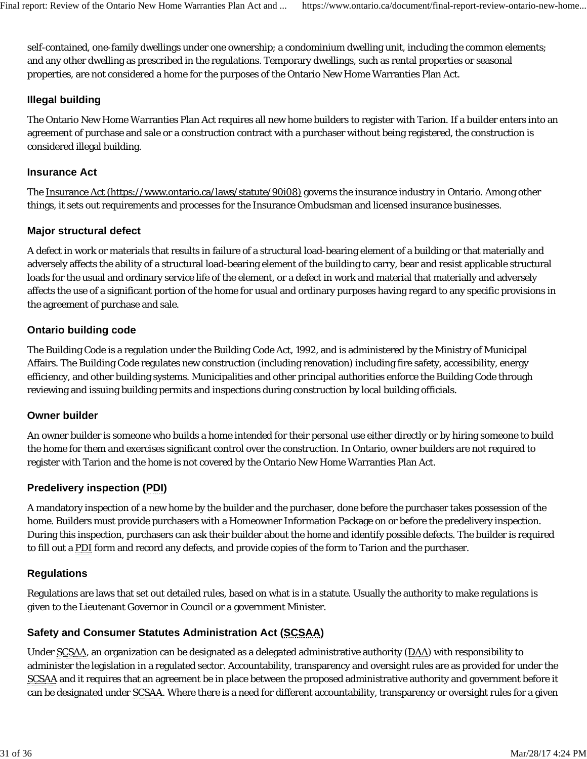self-contained, one-family dwellings under one ownership; a condominium dwelling unit, including the common elements; and any other dwelling as prescribed in the regulations. Temporary dwellings, such as rental properties or seasonal properties, are not considered a home for the purposes of the Ontario New Home Warranties Plan Act.

# **Illegal building**

The Ontario New Home Warranties Plan Act requires all new home builders to register with Tarion. If a builder enters into an agreement of purchase and sale or a construction contract with a purchaser without being registered, the construction is considered illegal building.

# **Insurance Act**

The Insurance Act (https://www.ontario.ca/laws/statute/90i08) governs the insurance industry in Ontario. Among other things, it sets out requirements and processes for the Insurance Ombudsman and licensed insurance businesses.

# **Major structural defect**

A defect in work or materials that results in failure of a structural load-bearing element of a building or that materially and adversely affects the ability of a structural load-bearing element of the building to carry, bear and resist applicable structural loads for the usual and ordinary service life of the element, or a defect in work and material that materially and adversely affects the use of a significant portion of the home for usual and ordinary purposes having regard to any specific provisions in the agreement of purchase and sale.

# **Ontario building code**

The Building Code is a regulation under the *Building Code Act*, *1992*, and is administered by the Ministry of Municipal Affairs. The Building Code regulates new construction (including renovation) including fire safety, accessibility, energy efficiency, and other building systems. Municipalities and other principal authorities enforce the Building Code through reviewing and issuing building permits and inspections during construction by local building officials.

# **Owner builder**

An owner builder is someone who builds a home intended for their personal use either directly or by hiring someone to build the home for them and exercises significant control over the construction. In Ontario, owner builders are not required to register with Tarion and the home is not covered by the Ontario New Home Warranties Plan Act.

# **Predelivery inspection (PDI)**

A mandatory inspection of a new home by the builder and the purchaser, done before the purchaser takes possession of the home. Builders must provide purchasers with a Homeowner Information Package on or before the predelivery inspection. During this inspection, purchasers can ask their builder about the home and identify possible defects. The builder is required to fill out a PDI form and record any defects, and provide copies of the form to Tarion and the purchaser.

# **Regulations**

Regulations are laws that set out detailed rules, based on what is in a statute. Usually the authority to make regulations is given to the Lieutenant Governor in Council or a government Minister.

# **Safety and Consumer Statutes Administration Act (SCSAA)**

Under SCSAA, an organization can be designated as a delegated administrative authority (DAA) with responsibility to administer the legislation in a regulated sector. Accountability, transparency and oversight rules are as provided for under the SCSAA and it requires that an agreement be in place between the proposed administrative authority and government before it can be designated under SCSAA. Where there is a need for different accountability, transparency or oversight rules for a given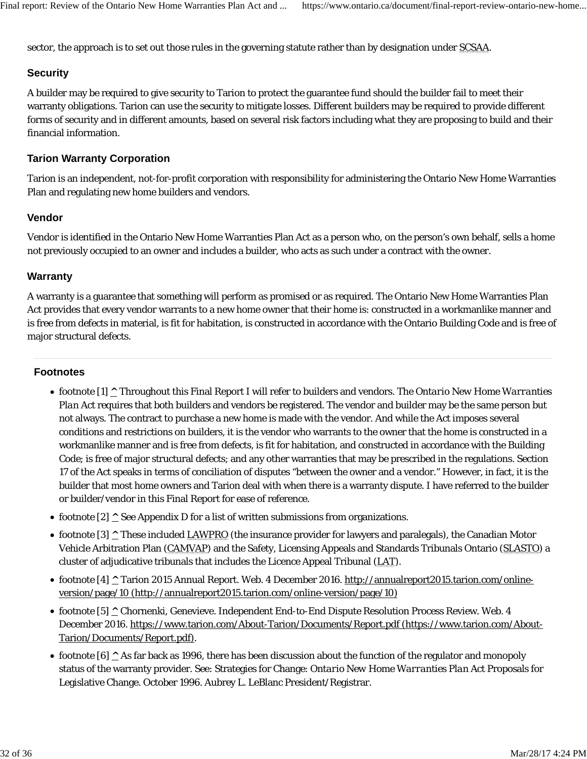sector, the approach is to set out those rules in the governing statute rather than by designation under SCSAA.

# **Security**

A builder may be required to give security to Tarion to protect the guarantee fund should the builder fail to meet their warranty obligations. Tarion can use the security to mitigate losses. Different builders may be required to provide different forms of security and in different amounts, based on several risk factors including what they are proposing to build and their financial information.

# **Tarion Warranty Corporation**

Tarion is an independent, not-for-profit corporation with responsibility for administering the Ontario New Home Warranties Plan and regulating new home builders and vendors.

### **Vendor**

Vendor is identified in the Ontario New Home Warranties Plan Act as a person who, on the person's own behalf, sells a home not previously occupied to an owner and includes a builder, who acts as such under a contract with the owner.

#### **Warranty**

A warranty is a guarantee that something will perform as promised or as required. The Ontario New Home Warranties Plan Act provides that every vendor warrants to a new home owner that their home is: constructed in a workmanlike manner and is free from defects in material, is fit for habitation, is constructed in accordance with the Ontario Building Code and is free of major structural defects.

#### **Footnotes**

- footnote [1] **^** Throughout this Final Report I will refer to builders and vendors. The *Ontario New Home Warranties Plan Act* requires that both builders and vendors be registered. The vendor and builder may be the same person but not always. The contract to purchase a new home is made with the vendor. And while the Act imposes several conditions and restrictions on builders, it is the vendor who warrants to the owner that the home is constructed in a workmanlike manner and is free from defects, is fit for habitation, and constructed in accordance with the Building Code; is free of major structural defects; and any other warranties that may be prescribed in the regulations. Section 17 of the Act speaks in terms of conciliation of disputes "between the owner and a vendor." However, in fact, it is the builder that most home owners and Tarion deal with when there is a warranty dispute. I have referred to the builder or builder/vendor in this Final Report for ease of reference.
- footnote [2]  $\triangle$  See Appendix D for a list of written submissions from organizations.
- footnote [3] **^** These included LAWPRO (the insurance provider for lawyers and paralegals), the Canadian Motor Vehicle Arbitration Plan (CAMVAP) and the Safety, Licensing Appeals and Standards Tribunals Ontario (SLASTO) a cluster of adjudicative tribunals that includes the Licence Appeal Tribunal (LAT).
- footnote [4] **^** Tarion 2015 Annual Report. Web. 4 December 2016. http://annualreport2015.tarion.com/onlineversion/page/10 (http://annualreport2015.tarion.com/online-version/page/10)
- footnote [5] **^** Chornenki, Genevieve. Independent End-to-End Dispute Resolution Process Review. Web. 4 December 2016. https://www.tarion.com/About-Tarion/Documents/Report.pdf (https://www.tarion.com/About-Tarion/Documents/Report.pdf).
- footnote [6] **^** As far back as 1996, there has been discussion about the function of the regulator and monopoly status of the warranty provider. See: Strategies for Change: *Ontario New Home Warranties Plan Act* Proposals for Legislative Change. October 1996. Aubrey L. LeBlanc President/Registrar.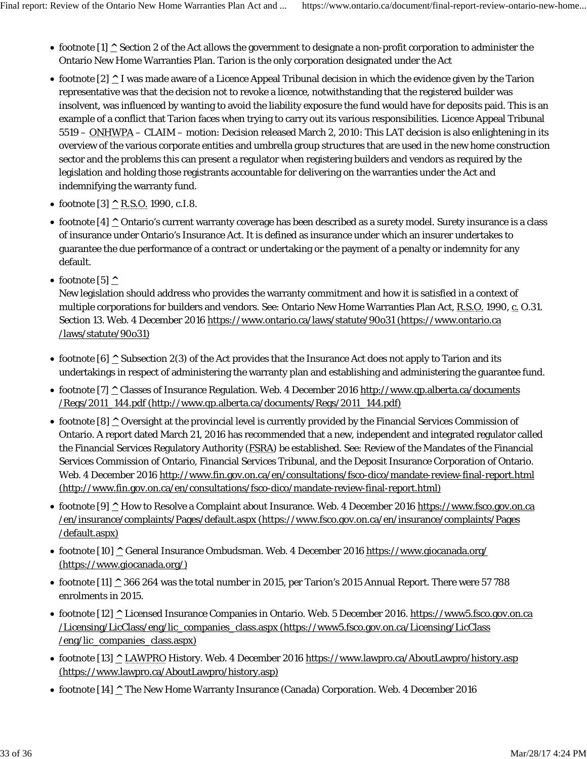- footnote  $[1]$  ^ Section 2 of the Act allows the government to designate a non-profit corporation to administer the Ontario New Home Warranties Plan. Tarion is the only corporation designated under the Act
- footnote [2] **^** I was made aware of a Licence Appeal Tribunal decision in which the evidence given by the Tarion representative was that the decision not to revoke a licence, notwithstanding that the registered builder was insolvent, was influenced by wanting to avoid the liability exposure the fund would have for deposits paid. This is an example of a conflict that Tarion faces when trying to carry out its various responsibilities. Licence Appeal Tribunal 5519 – ONHWPA – CLAIM – motion: Decision released March 2, 2010: This LAT decision is also enlightening in its overview of the various corporate entities and umbrella group structures that are used in the new home construction sector and the problems this can present a regulator when registering builders and vendors as required by the legislation and holding those registrants accountable for delivering on the warranties under the Act and indemnifying the warranty fund.
- footnote [3] **^** R.S.O. 1990, c.I.8.
- footnote [4]  $\triangle$  Ontario's current warranty coverage has been described as a surety model. Surety insurance is a class of insurance under Ontario's Insurance Act. It is defined as insurance under which an insurer undertakes to guarantee the due performance of a contract or undertaking or the payment of a penalty or indemnity for any default.
- $\bullet$  footnote [5]  $\land$

New legislation should address who provides the warranty commitment and how it is satisfied in a context of multiple corporations for builders and vendors. See: Ontario New Home Warranties Plan Act, R.S.O. 1990, c. O.31. Section 13. Web. 4 December 2016 https://www.ontario.ca/laws/statute/90o31 (https://www.ontario.ca /laws/statute/90o31)

- footnote [6]  $\wedge$  Subsection 2(3) of the Act provides that the Insurance Act does not apply to Tarion and its undertakings in respect of administering the warranty plan and establishing and administering the guarantee fund.
- footnote [7] **^** Classes of Insurance Regulation. Web. 4 December 2016 http://www.qp.alberta.ca/documents /Regs/2011\_144.pdf (http://www.qp.alberta.ca/documents/Regs/2011\_144.pdf)
- footnote [8]  $\triangle$  Oversight at the provincial level is currently provided by the Financial Services Commission of Ontario. A report dated March 21, 2016 has recommended that a new, independent and integrated regulator called the Financial Services Regulatory Authority (FSRA) be established. See: Review of the Mandates of the Financial Services Commission of Ontario, Financial Services Tribunal, and the Deposit Insurance Corporation of Ontario. Web. 4 December 2016 http://www.fin.gov.on.ca/en/consultations/fsco-dico/mandate-review-final-report.html (http://www.fin.gov.on.ca/en/consultations/fsco-dico/mandate-review-final-report.html)
- footnote [9] **^** How to Resolve a Complaint about Insurance. Web. 4 December 2016 https://www.fsco.gov.on.ca /en/insurance/complaints/Pages/default.aspx (https://www.fsco.gov.on.ca/en/insurance/complaints/Pages /default.aspx)
- footnote [10] **^** General Insurance Ombudsman. Web. 4 December 2016 https://www.giocanada.org/ (https://www.giocanada.org/)
- footnote [11] **^** 366 264 was the total number in 2015, per Tarion's 2015 Annual Report. There were 57 788 enrolments in 2015.
- footnote [12] **^** Licensed Insurance Companies in Ontario. Web. 5 December 2016. https://www5.fsco.gov.on.ca /Licensing/LicClass/eng/lic\_companies\_class.aspx (https://www5.fsco.gov.on.ca/Licensing/LicClass /eng/lic\_companies\_class.aspx)
- footnote [13] **^** LAWPRO History. Web. 4 December 2016 https://www.lawpro.ca/AboutLawpro/history.asp (https://www.lawpro.ca/AboutLawpro/history.asp)
- footnote [14] **^** The New Home Warranty Insurance (Canada) Corporation. Web. 4 December 2016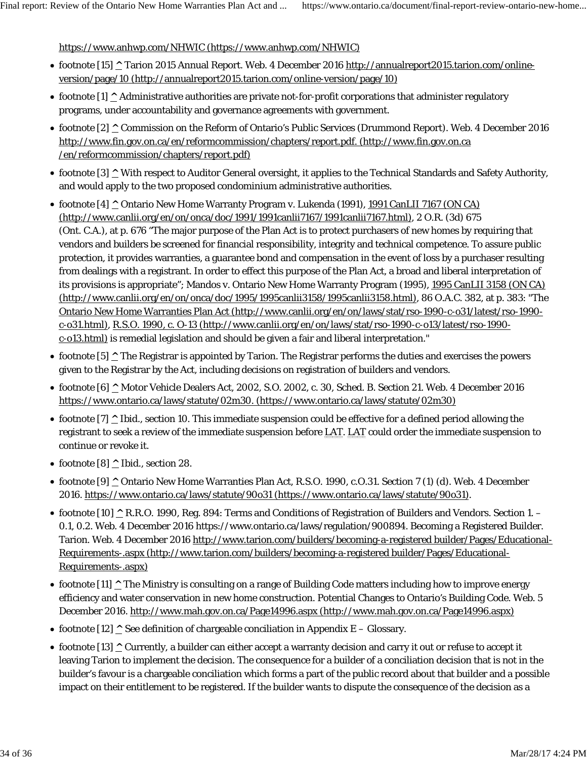https://www.anhwp.com/NHWIC (https://www.anhwp.com/NHWIC)

- footnote [15] **^** Tarion 2015 Annual Report. Web. 4 December 2016 http://annualreport2015.tarion.com/onlineversion/page/10 (http://annualreport2015.tarion.com/online-version/page/10)
- footnote [1]  $\triangle$  Administrative authorities are private not-for-profit corporations that administer regulatory programs, under accountability and governance agreements with government.
- footnote [2] **^** Commission on the Reform of Ontario's Public Services (Drummond Report). Web. 4 December 2016 http://www.fin.gov.on.ca/en/reformcommission/chapters/report.pdf. (http://www.fin.gov.on.ca /en/reformcommission/chapters/report.pdf)
- footnote [3] <sup>^</sup> With respect to Auditor General oversight, it applies to the Technical Standards and Safety Authority, and would apply to the two proposed condominium administrative authorities.
- footnote [4] **^** Ontario New Home Warranty Program v. Lukenda (1991), 1991 CanLII 7167 (ON CA) (http://www.canlii.org/en/on/onca/doc/1991/1991canlii7167/1991canlii7167.html), 2 O.R. (3d) 675 (Ont. C.A.), at p. 676 "The major purpose of the Plan Act is to protect purchasers of new homes by requiring that vendors and builders be screened for financial responsibility, integrity and technical competence. To assure public protection, it provides warranties, a guarantee bond and compensation in the event of loss by a purchaser resulting from dealings with a registrant. In order to effect this purpose of the Plan Act, a broad and liberal interpretation of its provisions is appropriate"; Mandos v. Ontario New Home Warranty Program (1995), 1995 CanLII 3158 (ON CA) (http://www.canlii.org/en/on/onca/doc/1995/1995canlii3158/1995canlii3158.html), 86 O.A.C. 382, at p. 383: "The Ontario New Home Warranties Plan Act (http://www.canlii.org/en/on/laws/stat/rso-1990-c-o31/latest/rso-1990 c-o31.html), R.S.O. 1990, c. O-13 (http://www.canlii.org/en/on/laws/stat/rso-1990-c-o13/latest/rso-1990 c-o13.html) is remedial legislation and should be given a fair and liberal interpretation."
- footnote [5] **^** The Registrar is appointed by Tarion. The Registrar performs the duties and exercises the powers given to the Registrar by the Act, including decisions on registration of builders and vendors.
- footnote [6] **^** Motor Vehicle Dealers Act, 2002, S.O. 2002, c. 30, Sched. B. Section 21. Web. 4 December 2016 https://www.ontario.ca/laws/statute/02m30. (https://www.ontario.ca/laws/statute/02m30)
- footnote [7] **^** Ibid., section 10. This immediate suspension could be effective for a defined period allowing the registrant to seek a review of the immediate suspension before LAT. LAT could order the immediate suspension to continue or revoke it.
- footnote [8]  $\triangle$  Ibid., section 28.
- footnote [9] **^** Ontario New Home Warranties Plan Act, R.S.O. 1990, c.O.31. Section 7 (1) (d). Web. 4 December 2016. https://www.ontario.ca/laws/statute/90o31 (https://www.ontario.ca/laws/statute/90o31).
- footnote [10] **^** R.R.O. 1990, Reg. 894: Terms and Conditions of Registration of Builders and Vendors. Section 1. 0.1, 0.2. Web. 4 December 2016 https://www.ontario.ca/laws/regulation/900894. Becoming a Registered Builder. Tarion. Web. 4 December 2016 http://www.tarion.com/builders/becoming-a-registered builder/Pages/Educational-Requirements-.aspx (http://www.tarion.com/builders/becoming-a-registered builder/Pages/Educational-Requirements-.aspx)
- footnote [11]  $\triangle$  The Ministry is consulting on a range of Building Code matters including how to improve energy efficiency and water conservation in new home construction. Potential Changes to Ontario's Building Code. Web. 5 December 2016. http://www.mah.gov.on.ca/Page14996.aspx (http://www.mah.gov.on.ca/Page14996.aspx)
- footnote  $[12]$   $\wedge$  See definition of chargeable conciliation in Appendix E Glossary.
- footnote [13] **^** Currently, a builder can either accept a warranty decision and carry it out or refuse to accept it leaving Tarion to implement the decision. The consequence for a builder of a conciliation decision that is not in the builder's favour is a chargeable conciliation which forms a part of the public record about that builder and a possible impact on their entitlement to be registered. If the builder wants to dispute the consequence of the decision as a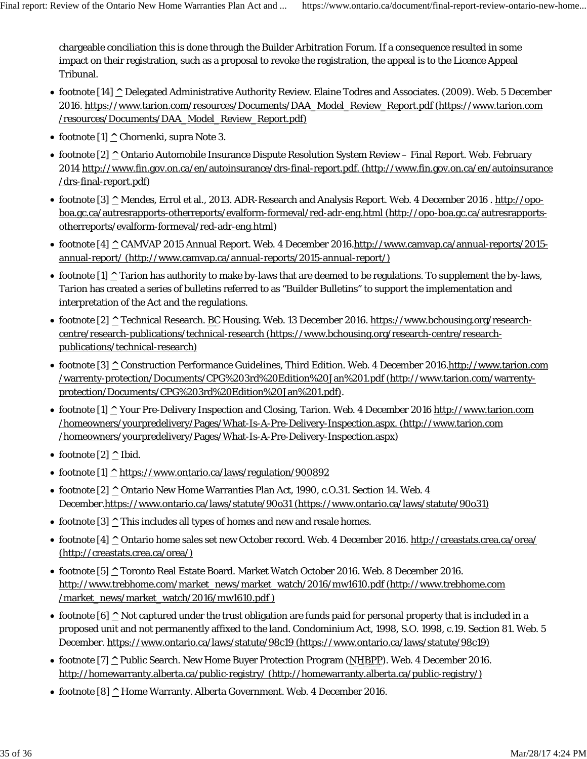chargeable conciliation this is done through the Builder Arbitration Forum. If a consequence resulted in some impact on their registration, such as a proposal to revoke the registration, the appeal is to the Licence Appeal Tribunal.

- footnote [14] **^** Delegated Administrative Authority Review. Elaine Todres and Associates. (2009). Web. 5 December 2016. https://www.tarion.com/resources/Documents/DAA\_Model\_Review\_Report.pdf (https://www.tarion.com /resources/Documents/DAA\_Model\_Review\_Report.pdf)
- footnote  $[1]$  <u>^</u> Chornenki, supra Note 3.
- footnote [2] **^** Ontario Automobile Insurance Dispute Resolution System Review Final Report. Web. February 2014 http://www.fin.gov.on.ca/en/autoinsurance/drs-final-report.pdf. (http://www.fin.gov.on.ca/en/autoinsurance /drs-final-report.pdf)
- footnote [3] **^** Mendes, Errol et al., 2013. ADR-Research and Analysis Report. Web. 4 December 2016 . http://opoboa.gc.ca/autresrapports-otherreports/evalform-formeval/red-adr-eng.html (http://opo-boa.gc.ca/autresrapportsotherreports/evalform-formeval/red-adr-eng.html)
- footnote [4] **^** CAMVAP 2015 Annual Report. Web. 4 December 2016.http://www.camvap.ca/annual-reports/2015 annual-report/ (http://www.camvap.ca/annual-reports/2015-annual-report/)
- footnote [1] **^** Tarion has authority to make by-laws that are deemed to be regulations. To supplement the by-laws, Tarion has created a series of bulletins referred to as "Builder Bulletins" to support the implementation and interpretation of the Act and the regulations.
- footnote [2] **^** Technical Research. BC Housing. Web. 13 December 2016. https://www.bchousing.org/researchcentre/research-publications/technical-research (https://www.bchousing.org/research-centre/researchpublications/technical-research)
- footnote [3] **^** Construction Performance Guidelines, Third Edition. Web. 4 December 2016.http://www.tarion.com /warrenty-protection/Documents/CPG%203rd%20Edition%20Jan%201.pdf (http://www.tarion.com/warrentyprotection/Documents/CPG%203rd%20Edition%20Jan%201.pdf).
- footnote [1] **^** Your Pre-Delivery Inspection and Closing, Tarion. Web. 4 December 2016 http://www.tarion.com /homeowners/yourpredelivery/Pages/What-Is-A-Pre-Delivery-Inspection.aspx. (http://www.tarion.com /homeowners/yourpredelivery/Pages/What-Is-A-Pre-Delivery-Inspection.aspx)
- footnote [2] ^ Ibid.
- footnote [1] **^** https://www.ontario.ca/laws/regulation/900892
- footnote [2] **^** Ontario New Home Warranties Plan Act, 1990, c.O.31. Section 14. Web. 4 December.https://www.ontario.ca/laws/statute/90o31 (https://www.ontario.ca/laws/statute/90o31)
- footnote [3]  $\triangle$  This includes all types of homes and new and resale homes.
- footnote [4] **^** Ontario home sales set new October record. Web. 4 December 2016. http://creastats.crea.ca/orea/ (http://creastats.crea.ca/orea/)
- footnote [5] **^** Toronto Real Estate Board. Market Watch October 2016. Web. 8 December 2016. http://www.trebhome.com/market\_news/market\_watch/2016/mw1610.pdf (http://www.trebhome.com /market\_news/market\_watch/2016/mw1610.pdf )
- footnote [6]  $\triangle$  Not captured under the trust obligation are funds paid for personal property that is included in a proposed unit and not permanently affixed to the land. Condominium Act, 1998, S.O. 1998, c.19. Section 81. Web. 5 December. https://www.ontario.ca/laws/statute/98c19 (https://www.ontario.ca/laws/statute/98c19)
- footnote [7] **^** Public Search. New Home Buyer Protection Program (NHBPP). Web. 4 December 2016. http://homewarranty.alberta.ca/public-registry/ (http://homewarranty.alberta.ca/public-registry/)
- footnote [8] **^** Home Warranty. Alberta Government. Web. 4 December 2016.